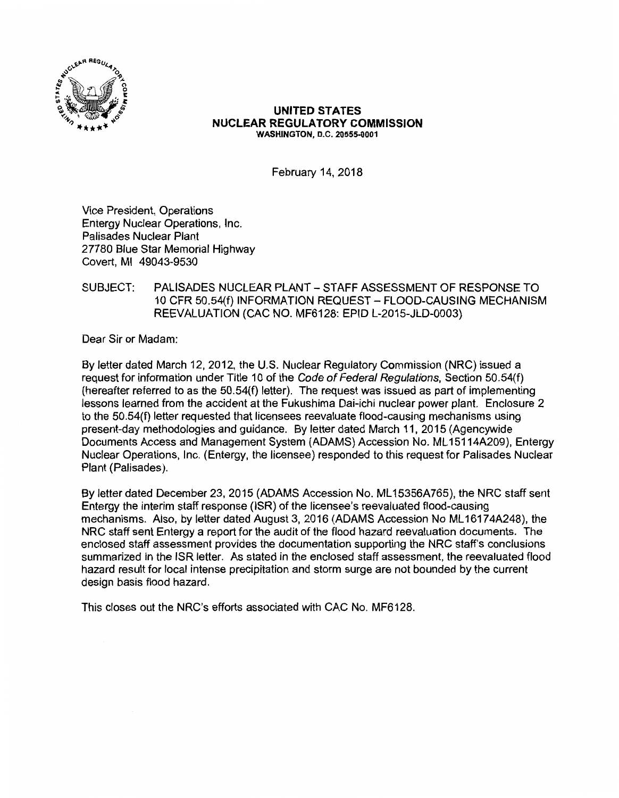

#### **UNITED STATES NUCLEAR REGULATORY COMMISSION WASHINGTON, D.C. 20555-0001**

February 14, 2018

Vice President, Operations Entergy Nuclear Operations, Inc. Palisades Nuclear Plant 27780 Blue Star Memorial Highway Covert, Ml 49043-9530

# SUBJECT: PALISADES NUCLEAR PLANT-STAFF ASSESSMENT OF RESPONSE TO 10 CFR 50.54(f) INFORMATION REQUEST-FLOOD-CAUSING MECHANISM REEVALUATION (CAC NO. MF6128: EPID L-2015-JLD-0003)

Dear Sir or Madam:

By letter dated March 12, 2012, the U.S. Nuclear Regulatory Commission (NRC) issued a request for information under Title 10 of the Code of Federal Regulations, Section 50.54(f) (hereafter referred to as the 50.54(f) letter). The request was issued as part of implementing lessons learned from the accident at the Fukushima Dai-ichi nuclear power plant. Enclosure 2 to the 50.54(f) letter requested that licensees reevaluate flood-causing mechanisms using present-day methodologies and guidance. By letter dated March 11, 2015 (Agencywide Documents Access and Management System (ADAMS) Accession No. ML 15114A209), Entergy Nuclear Operations, Inc. (Entergy, the licensee) responded to this request for Palisades Nuclear Plant (Palisades).

By letter dated December 23, 2015 (ADAMS Accession No. ML15356A765), the NRC staff sent Entergy the interim staff response (ISR) of the licensee's reevaluated flood-causing mechanisms. Also, by letter dated August 3, 2016 (ADAMS Accession No ML 16174A248), the NRC staff sent Entergy a report for the audit of the flood hazard reevaluation documents. The enclosed staff assessment provides the documentation supporting the NRC staff's conclusions summarized in the ISR letter. As stated in the enclosed staff assessment, the reevaluated flood hazard result for local intense precipitation and storm surge are not bounded by the current design basis flood hazard.

This closes out the NRC's efforts associated with CAC No. MF6128.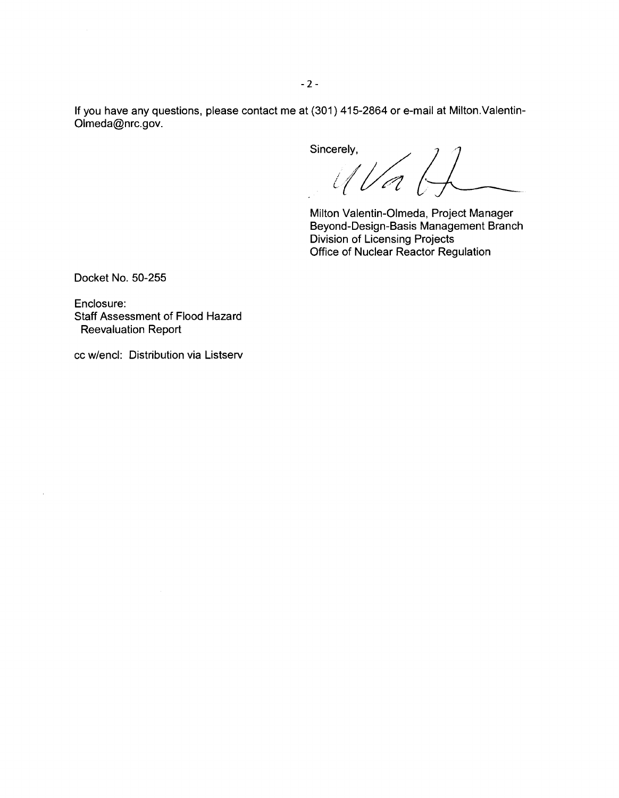If you have any questions, please contact me at (301) 415-2864 or e-mail at Milton.Valentin-Olmeda@nrc.gov.

Sincerely,  $U/a$ 

Milton Valentin-Olmeda, Project Manager Beyond-Design-Basis Management Branch Division of Licensing Projects Office of Nuclear Reactor Regulation

Docket No. 50-255

Enclosure: Staff Assessment of Flood Hazard Reevaluation Report

cc w/encl: Distribution via Listserv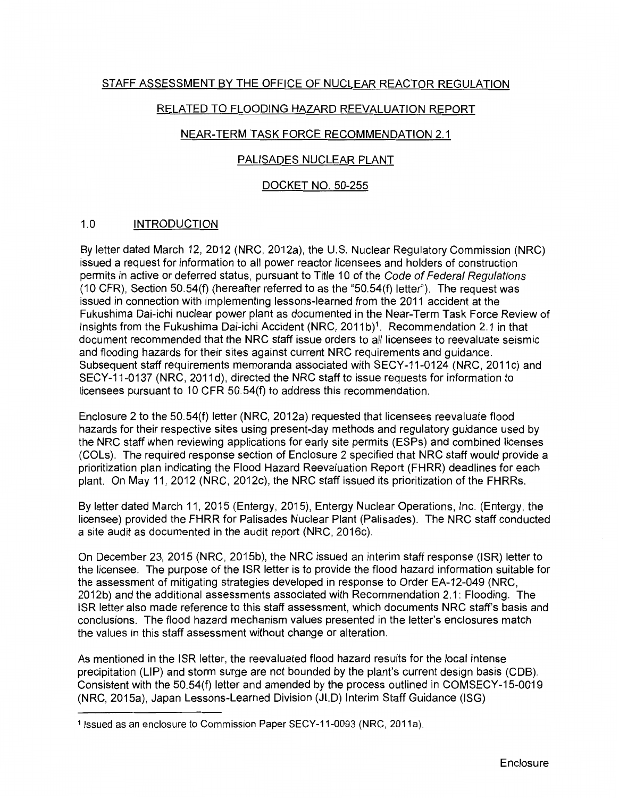# STAFF ASSESSMENT BY THE OFFICE OF NUCLEAR REACTOR REGULATION

# RELATED TO FLOODING HAZARD REEVALUATION REPORT

# NEAR-TERM TASK FORCE RECOMMENDATION 2.1

## PALISADES NUCLEAR PLANT

# DOCKET NO. 50-255

# 1.0 INTRODUCTION

By letter dated March 12, 2012 (NRC, 2012a), the U.S. Nuclear Regulatory Commission (NRC) issued a request for information to all power reactor licensees and holders of construction permits in active or deferred status, pursuant to Title 10 of the Code of Federal Regulations (10 CFR), Section 50.54(f) (hereafter referred to as the "50.54(f) letter''). The request was issued in connection with implementing lessons-learned from the 2011 accident at the Fukushima Dai-ichi nuclear power plant as documented in the Near-Term Task Force Review of Insights from the Fukushima Dai-ichi Accident (NRC, 2011b)<sup>1</sup>. Recommendation 2.1 in that document recommended that the NRC staff issue orders to all licensees to reevaluate seismic and flooding hazards for their sites against current NRC requirements and guidance. Subsequent staff requirements memoranda associated with SECY-11-0124 (NRC, 2011c) and SECY-11-0137 (NRC, 2011d), directed the NRC staff to issue requests for information to licensees pursuant to 10 CFR 50.54(f) to address this recommendation.

Enclosure 2 to the 50.54(f) letter (NRC, 2012a) requested that licensees reevaluate flood hazards for their respective sites using present-day methods and regulatory guidance used by the NRC staff when reviewing applications for early site permits (ESPs) and combined licenses (COLs). The required response section of Enclosure 2 specified that NRC staff would provide a prioritization plan indicating the Flood Hazard Reevaluation Report (FHRR) deadlines for each plant. On May 11, 2012 (NRC, 2012c), the NRC staff issued its prioritization of the FHRRs.

By letter dated March 11, 2015 (Entergy, 2015), Entergy Nuclear Operations, Inc. (Entergy, the licensee) provided the FHRR for Palisades Nuclear Plant (Palisades). The NRC staff conducted a site audit as documented in the audit report (NRC, 2016c).

On December 23, 2015 (NRC, 2015b), the NRC issued an interim staff response (ISR) letter to the licensee. The purpose of the ISR letter is to provide the flood hazard information suitable for the assessment of mitigating strategies developed in response to Order EA-12-049 (NRC, 2012b) and the additional assessments associated with Recommendation 2.1: Flooding. The ISR letter also made reference to this staff assessment, which documents NRC staff's basis and conclusions. The flood hazard mechanism values presented in the letter's enclosures match the values in this staff assessment without change or alteration.

As mentioned in the ISR letter, the reevaluated flood hazard results for the local intense precipitation (LIP) and storm surge are not bounded by the plant's current design basis (COB). Consistent with the 50.54(f) letter and amended by the process outlined in COMSECY-15-0019 (NRC, 2015a), Japan Lessons-Learned Division (JLD) Interim Staff Guidance (ISG)

<sup>&</sup>lt;sup>1</sup> Issued as an enclosure to Commission Paper SECY-11-0093 (NRC, 2011a).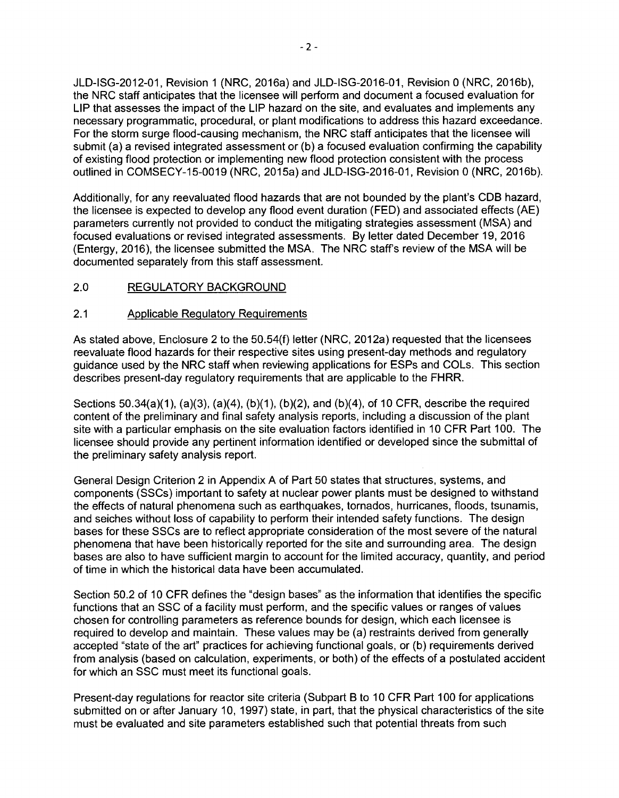JLD-ISG-2012-01, Revision 1 (NRC, 2016a) and JLD-ISG-2016-01, Revision O (NRC, 2016b), the NRC staff anticipates that the licensee will perform and document a focused evaluation for LIP that assesses the impact of the LIP hazard on the site, and evaluates and implements any necessary programmatic, procedural, or plant modifications to address this hazard exceedance. For the storm surge flood-causing mechanism, the NRC staff anticipates that the licensee will submit (a) a revised integrated assessment or (b) a focused evaluation confirming the capability of existing flood protection or implementing new flood protection consistent with the process outlined in COMSECY-15-0019 (NRC, 2015a) and JLD-ISG-2016-01, Revision O (NRC, 2016b).

Additionally, for any reevaluated flood hazards that are not bounded by the plant's CDB hazard, the licensee is expected to develop any flood event duration (FED) and associated effects (AE) parameters currently not provided to conduct the mitigating strategies assessment (MSA) and focused evaluations or revised integrated assessments. By letter dated December 19, 2016 (Entergy, 2016), the licensee submitted the MSA. The NRC staff's review of the MSA will be documented separately from this staff assessment.

# 2.0 REGULATORY BACKGROUND

### 2.1 Applicable Regulatory Requirements

As stated above, Enclosure 2 to the 50.54(f) letter (NRC, 2012a) requested that the licensees reevaluate flood hazards for their respective sites using present-day methods and regulatory guidance used by the NRC staff when reviewing applications for ESPs and COLs. This section describes present-day regulatory requirements that are applicable to the FHRR.

Sections  $50.34(a)(1)$ ,  $(a)(3)$ ,  $(a)(4)$ ,  $(b)(1)$ ,  $(b)(2)$ , and  $(b)(4)$ , of 10 CFR, describe the required content of the preliminary and final safety analysis reports, including a discussion of the plant site with a particular emphasis on the site evaluation factors identified in 10 CFR Part 100. The licensee should provide any pertinent information identified or developed since the submittal of the preliminary safety analysis report.

General Design Criterion 2 in Appendix A of Part 50 states that structures, systems, and components (SSCs) important to safety at nuclear power plants must be designed to withstand the effects of natural phenomena such as earthquakes, tornados, hurricanes, floods, tsunamis, and seiches without loss of capability to perform their intended safety functions. The design bases for these SSCs are to reflect appropriate consideration of the most severe of the natural phenomena that have been historically reported for the site and surrounding area. The design bases are also to have sufficient margin to account for the limited accuracy, quantity, and period of time in which the historical data have been accumulated.

Section 50.2 of 10 CFR defines the "design bases" as the information that identifies the specific functions that an SSC of a facility must perform, and the specific values or ranges of values chosen for controlling parameters as reference bounds for design, which each licensee is required to develop and maintain. These values may be (a) restraints derived from generally accepted "state of the art" practices for achieving functional goals, or (b) requirements derived from analysis (based on calculation, experiments, or both) of the effects of a postulated accident for which an SSC must meet its functional goals.

Present-day regulations for reactor site criteria (Subpart B to 10 CFR Part 100 for applications submitted on or after January 10, 1997) state, in part, that the physical characteristics of the site must be evaluated and site parameters established such that potential threats from such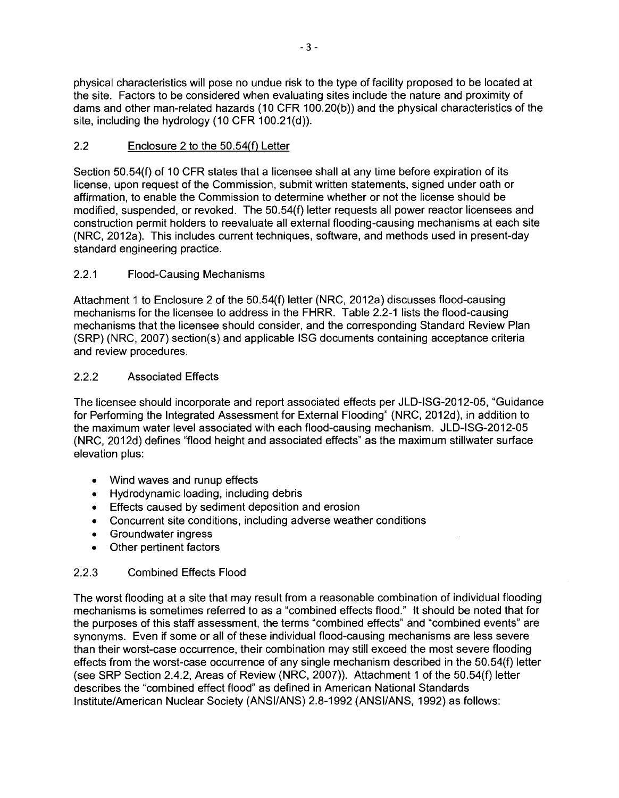physical characteristics will pose no undue risk to the type of facility proposed to be located at the site. Factors to be considered when evaluating sites include the nature and proximity of dams and other man-related hazards ( 10 CFR 100.20(b)) and the physical characteristics of the site, including the hydrology (10 CFR 100.21(d)).

# 2.2 Enclosure 2 to the 50.54(f) Letter

Section 50.54(f) of 10 CFR states that a licensee shall at any time before expiration of its license, upon request of the Commission, submit written statements, signed under oath or affirmation, to enable the Commission to determine whether or not the license should be modified, suspended, or revoked. The 50.54(f) letter requests all power reactor licensees and construction permit holders to reevaluate all external flooding-causing mechanisms at each site (NRC, 2012a). This includes current techniques, software, and methods used in present-day standard engineering practice.

# 2.2.1 Flood-Causing Mechanisms

Attachment 1 to Enclosure 2 of the 50.54(f) letter (NRC, 2012a) discusses flood-causing mechanisms for the licensee to address in the FHRR. Table 2.2-1 lists the flood-causing mechanisms that the licensee should consider, and the corresponding Standard Review Plan (SRP) (NRC, 2007) section(s) and applicable ISG documents containing acceptance criteria and review procedures.

# 2.2.2 Associated Effects

The licensee should incorporate and report associated effects per JLD-ISG-2012-05, "Guidance for Performing the Integrated Assessment for External Flooding" (NRC, 2012d), in addition to the maximum water level associated with each flood-causing mechanism. JLD-ISG-2012-05 (NRC, 2012d) defines "flood height and associated effects" as the maximum stillwater surface elevation plus:

- Wind waves and runup effects
- Hydrodynamic loading, including debris
- Effects caused by sediment deposition and erosion
- Concurrent site conditions, including adverse weather conditions
- Groundwater ingress
- Other pertinent factors

# 2.2.3 Combined Effects Flood

The worst flooding at a site that may result from a reasonable combination of individual flooding mechanisms is sometimes referred to **as a** "combined effects flood." It should be noted that for the purposes of this staff assessment, the terms "combined effects" and "combined events" are synonyms. Even if some or all of these individual flood-causing mechanisms are less severe than their worst-case occurrence, their combination may still exceed the most severe flooding effects from the worst-case occurrence of any single mechanism described in the 50.54(f) letter (see SRP Section 2.4.2, Areas of Review (NRC, 2007)). Attachment 1 of the 50.54(f) letter describes the "combined effect flood" as defined in American National Standards Institute/American Nuclear Society (ANSI/ANS) 2.8-1992 (ANSI/ANS, 1992) as follows: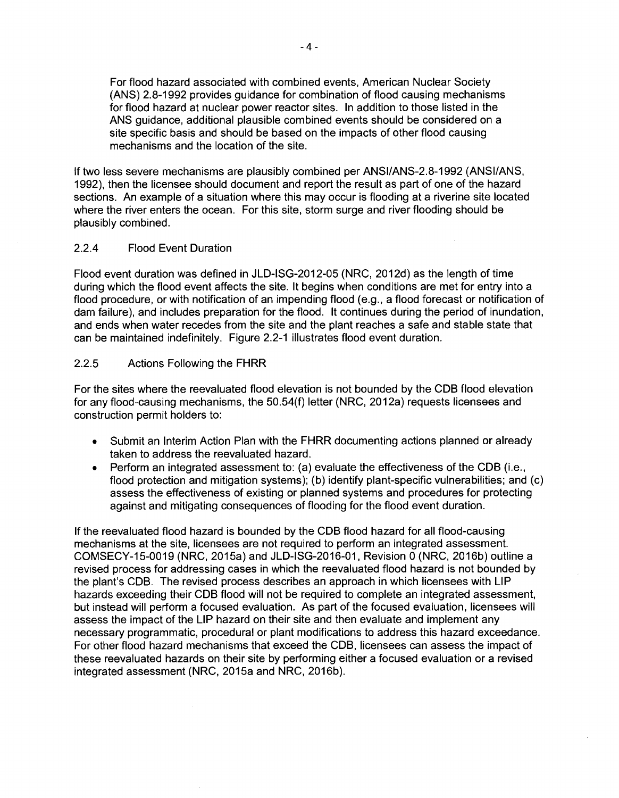For flood hazard associated with combined events, American Nuclear Society (ANS) 2.8-1992 provides guidance for combination of flood causing mechanisms for flood hazard at nuclear power reactor sites. In addition to those listed in the ANS guidance, additional plausible combined events should be considered on a site specific basis and should be based on the impacts of other flood causing mechanisms and the location of the site.

If two less severe mechanisms are plausibly combined per ANSI/ANS-2.8-1992 (ANSI/ANS, 1992), then the licensee should document and report the result as part of one of the hazard sections. An example of a situation where this may occur is flooding at a riverine site located where the river enters the ocean. For this site, storm surge and river flooding should be plausibly combined.

### 2.2.4 Flood Event Duration

Flood event duration was defined in JLD-ISG-2012-05 (NRC, 2012d) as the length of time during which the flood event affects the site. It begins when conditions are met for entry into a flood procedure, or with notification of an impending flood (e.g., a flood forecast or notification of dam failure), and includes preparation for the flood. It continues during the period of inundation, and ends when water recedes from the site and the plant reaches a safe and stable state that can be maintained indefinitely. Figure 2.2-1 illustrates flood event duration.

# 2.2.5 Actions Following the FHRR

For the sites where the reevaluated flood elevation is not bounded by the COB flood elevation for any flood-causing mechanisms, the 50.54(f) letter (NRC, 2012a) requests licensees and construction permit holders to:

- Submit an Interim Action Plan with the FHRR documenting actions planned or already taken to address the reevaluated hazard.
- Perform an integrated assessment to: (a) evaluate the effectiveness of the COB (i.e., flood protection and mitigation systems); (b) identify plant-specific vulnerabilities; and (c) assess the effectiveness of existing or planned systems and procedures for protecting against and mitigating consequences of flooding for the flood event duration.

If the reevaluated flood hazard is bounded by the COB flood hazard for all flood-causing mechanisms at the site, licensees are not required to perform an integrated assessment. COMSECY-15-0019 (NRC, 2015a) and JLD-ISG-2016-01, Revision O (NRC, 2016b) outline a revised process for addressing cases in which the reevaluated flood hazard is not bounded by the plant's COB. The revised process describes an approach in which licensees with LIP hazards exceeding their COB flood will not be required to complete an integrated assessment, but instead will perform a focused evaluation. As part of the focused evaluation, licensees will assess the impact of the LIP hazard on their site and then evaluate and implement any necessary programmatic, procedural or plant modifications to address this hazard exceedance. For other flood hazard mechanisms that exceed the COB, licensees can assess the impact of these reevaluated hazards on their site by performing either a focused evaluation or a revised integrated assessment (NRC, 2015a and NRC, 2016b).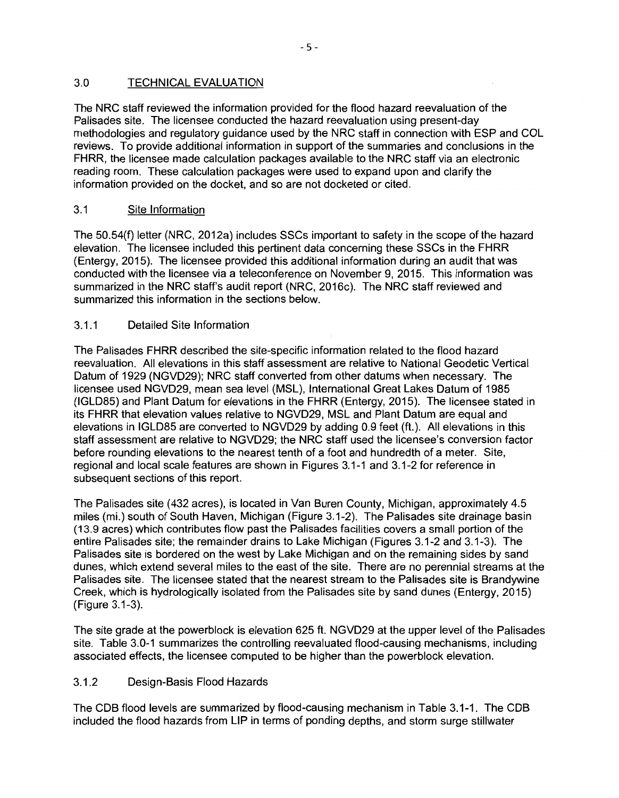# 3.0 TECHNICAL EVALUATION

The NRC staff reviewed the information provided for the flood hazard reevaluation of the Palisades site. The licensee conducted the hazard reevaluation using present-day methodologies and regulatory guidance used by the NRC staff in connection with ESP and COL reviews. To provide additional information in support of the summaries and conclusions in the FHRR, the licensee made calculation packages available to the NRC staff via an electronic reading room. These calculation packages were used to expand upon and clarify the information provided on the docket, and so are not docketed or cited.

# 3.1 Site Information

The 50.54(f) letter (NRC, 2012a) includes SSCs important to safety in the scope of the hazard elevation. The licensee included this pertinent data concerning these SSCs in the FHRR (Entergy, 2015). The licensee provided this additional information during an audit that was conducted with the licensee via a teleconference on November 9, 2015. This information was summarized in the NRC staff's audit report (NRC, 2016c). The NRC staff reviewed and summarized this information in the sections below.

# 3.1.1 Detailed Site Information

The Palisades FHRR described the site-specific information related to the flood hazard reevaluation. All elevations in this staff assessment are relative to National Geodetic Vertical Datum of 1929 (NGVD29); NRC staff converted from other datums when necessary. The licensee used NGVD29, mean sea level (MSL), International Great Lakes Datum of 1985 (IGLD85) and Plant Datum for elevations in the FHRR (Entergy, 2015). The licensee stated in its FHRR that elevation values relative to NGVD29, MSL and Plant Datum are equal and elevations in IGLD85 are converted to NGVD29 by adding 0.9 feet (ft.). All elevations in this staff assessment are relative to NGVD29; the NRC staff used the licensee's conversion factor before rounding elevations to the nearest tenth of a foot and hundredth of a meter. Site, regional and local scale features are shown in Figures 3.1-1 and 3.1-2 for reference in subsequent sections of this report.

The Palisades site (432 acres), is located in Van Buren County, Michigan, approximately 4.5 miles (mi.) south of South Haven, Michigan (Figure 3.1-2). The Palisades site drainage basin ( 13.9 acres) which contributes flow past the Palisades facilities covers a small portion of the entire Palisades site; the remainder drains to Lake Michigan (Figures 3.1-2 and 3.1-3). The Palisades site is bordered on the west by Lake Michigan and on the remaining sides by sand dunes, which extend several miles to the east of the site. There are no perennial streams at the Palisades site. The licensee stated that the nearest stream to the Palisades site is Brandywine Creek, which is hydrologically isolated from the Palisades site by sand dunes (Entergy, 2015) (Figure 3.1-3).

The site grade at the powerblock is elevation 625 ft. NGVD29 at the upper level of the Palisades site. Table 3.0-1 summarizes the controlling reevaluated flood-causing mechanisms, including associated effects, the licensee computed to be higher than the powerblock elevation.

# 3.1.2 Design-Basis Flood Hazards

The CDB flood levels are summarized by flood-causing mechanism in Table 3.1-1. The CDB included the flood hazards from LIP in terms of ponding depths, and storm surge stillwater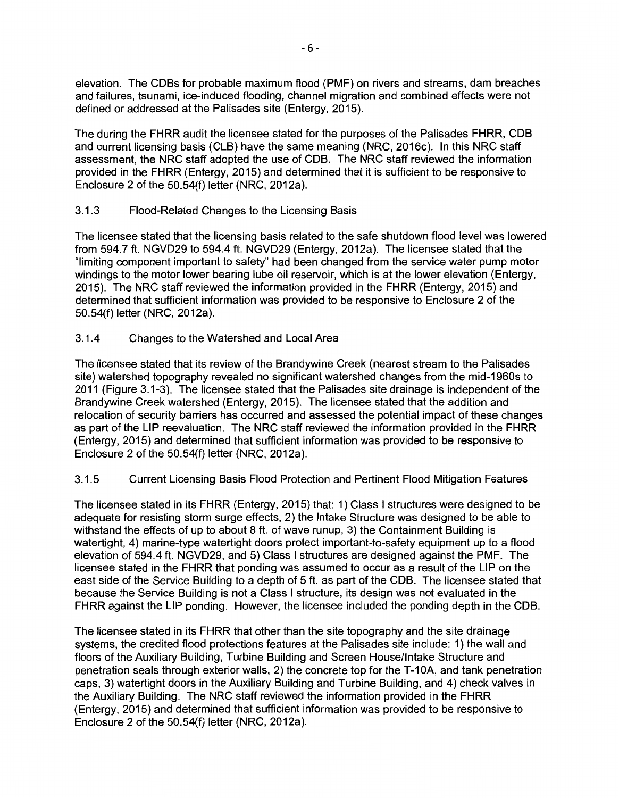elevation. The COBs for probable maximum flood (PMF) on rivers and streams, dam breaches and failures, tsunami, ice-induced flooding, channel migration and combined effects were not defined or addressed at the Palisades site (Entergy, 2015).

The during the FHRR audit the licensee stated for the purposes of the Palisades FHRR, COB and current licensing basis (CLB) have the same meaning (NRC, 2016c). In this NRC staff assessment, the NRC staff adopted the use of COB. The NRC staff reviewed the information provided in the FHRR (Entergy, 2015) and determined that it is sufficient to be responsive to Enclosure 2 of the 50.54(f) letter (NRC, 2012a).

# 3.1.3 Flood-Related Changes to the Licensing Basis

The licensee stated that the licensing basis related to the safe shutdown flood level was lowered from 594.7 ft. NGV029 to 594.4 ft. NGV029 (Entergy, 2012a). The licensee stated that the "limiting component important to safety" had been changed from the service water pump motor windings to the motor lower bearing lube oil reservoir, which is at the lower elevation (Entergy, 2015). The NRC staff reviewed the information provided in the FHRR (Entergy, 2015) and determined that sufficient information was provided to be responsive to Enclosure 2 of the 50.54(f) letter (NRC, 2012a).

# 3.1.4 Changes to the Watershed and Local Area

The licensee stated that its review of the Brandywine Creek (nearest stream to the Palisades site) watershed topography revealed no significant watershed changes from the mid-1960s to 2011 (Figure 3.1-3). The licensee stated that the Palisades site drainage is independent of the Brandywine Creek watershed (Entergy, 2015). The licensee stated that the addition and relocation of security barriers has occurred and assessed the potential impact of these changes as part of the LIP reevaluation. The NRC staff reviewed the information provided in the FHRR (Entergy, 2015) and determined that sufficient information was provided to be responsive to Enclosure 2 of the 50.54(f) letter (NRC, 2012a).

# 3.1.5 Current Licensing Basis Flood Protection and Pertinent Flood Mitigation Features

The licensee stated in its FHRR (Entergy, 2015) that: 1) Class I structures were designed to be adequate for resisting storm surge effects, 2) the Intake Structure was designed to be able to withstand the effects of up to about 8 ft. of wave runup, 3) the Containment Building is watertight, 4) marine-type watertight doors protect important-to-safety equipment up to a flood elevation of 594.4 ft. NGVD29, and 5) Class I structures are designed against the PMF. The licensee stated in the FHRR that ponding was assumed to occur as a result of the LIP on the east side of the Service Building to a depth of 5 ft. as part of the COB. The licensee stated that because the Service Building is not a Class I structure, its design was not evaluated in the FHRR against the LIP ponding. However, the licensee included the ponding depth in the COB.

The licensee stated in its FHRR that other than the site topography and the site drainage systems, the credited flood protections features at the Palisades site include: 1) the wall and floors of the Auxiliary Building, Turbine Building and Screen House/Intake Structure and penetration seals through exterior walls, 2) the concrete top for the T-1 OA, and tank penetration caps, 3) watertight doors in the Auxiliary Building and Turbine Building, and 4) check valves in the Auxiliary Building. The NRC staff reviewed the information provided in the FHRR (Entergy, 2015) and determined that sufficient information was provided to be responsive to Enclosure 2 of the 50.54(f) letter (NRC, 2012a).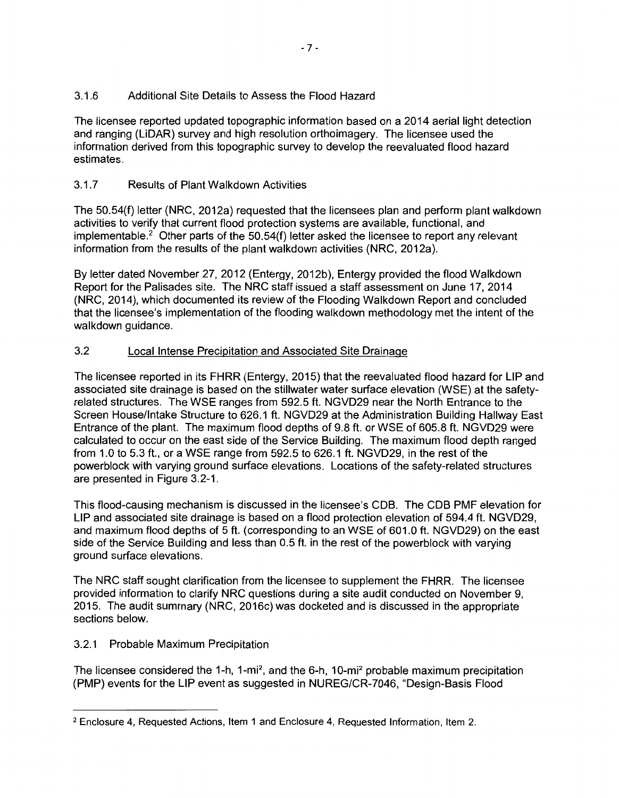# 3.1.6 Additional Site Details to Assess the Flood Hazard

The licensee reported updated topographic information based on a 2014 aerial light detection and ranging (LiDAR) survey and high resolution orthoimagery. The licensee used the information derived from this topographic survey to develop the reevaluated flood hazard estimates.

# 3.1. 7 Results of Plant Walkdown Activities

The 50.54(f) letter (NRC, 2012a) requested that the licensees plan and perform plant walkdown activities to verify that current flood protection systems are available, functional, and implementable.<sup>2</sup> Other parts of the 50.54(f) letter asked the licensee to report any relevant information from the results of the plant walkdown activities (NRC, 2012a).

By letter dated November 27, 2012 (Entergy, 2012b), Entergy provided the flood Walkdown Report for the Palisades site. The NRC staff issued a staff assessment on June 17, 2014 (NRC, 2014), which documented its review of the Flooding Walkdown Report and concluded that the licensee's implementation of the flooding walkdown methodology met the intent of the walkdown quidance.

# 3.2 Local Intense Precipitation and Associated Site Drainage

The licensee reported in its FHRR (Entergy, 2015) that the reevaluated flood hazard for LIP and associated site drainage is based on the stillwater water surface elevation (WSE) at the safetyrelated structures. The WSE ranges from 592.5 ft. NGVD29 near the North Entrance to the Screen House/Intake Structure to 626.1 ft. NGVD29 at the Administration Building Hallway East Entrance of the plant. The maximum flood depths of 9.8 ft. or WSE of 605.8 ft. NGVD29 were calculated to occur on the east side of the Service Building. The maximum flood depth ranged from 1.0 to 5.3 ft., or a WSE range from 592.5 to 626.1 ft. NGVD29, in the rest of the powerblock with varying ground surface elevations. Locations of the safety-related structures are presented in Figure 3.2-1.

This flood-causing mechanism is discussed in the licensee's CDS. The CDS PMF elevation for LIP and associated site drainage is based on a flood protection elevation of 594.4 ft. NGVD29, and maximum flood depths of 5 ft. (corresponding to an WSE of 601.0 ft. NGVD29) on the east side of the Service Building and less than 0.5 ft. in the rest of the powerblock with varying ground surface elevations.

The NRC staff sought clarification from the licensee to supplement the FHRR. The licensee provided information to clarify NRC questions during a site audit conducted on November 9, 2015. The audit summary (NRC, 2016c) was docketed and is discussed in the appropriate sections below.

# 3.2.1 Probable Maximum Precipitation

The licensee considered the 1-h, 1-mi<sup>2</sup>, and the 6-h, 10-mi<sup>2</sup> probable maximum precipitation (PMP) events for the LIP event as suggested in NUREG/CR-7046, "Design-Basis Flood

<sup>2</sup> Enclosure 4, Requested Actions, Item 1 and Enclosure 4, Requested Information, Item 2.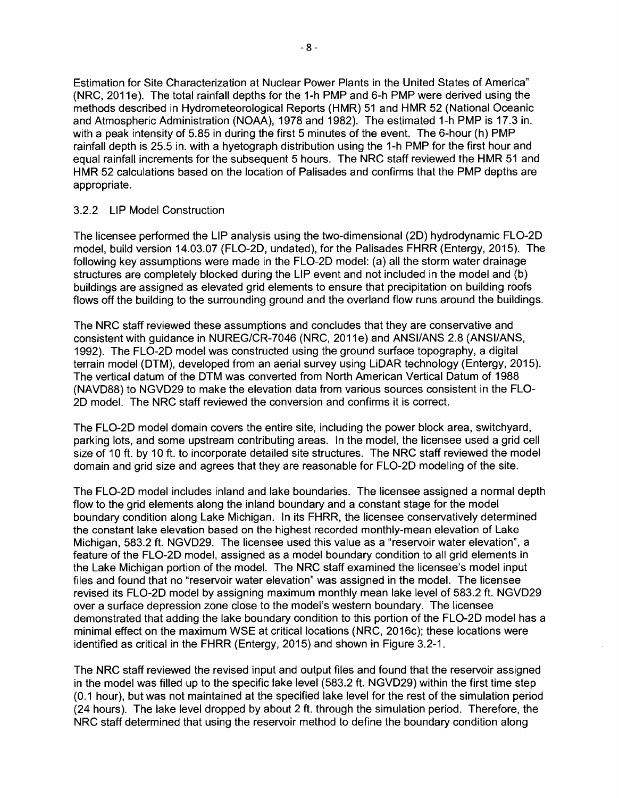Estimation for Site Characterization at Nuclear Power Plants in the United States of America" (NRC, 2011e). The total rainfall depths for the 1-h PMP and 6-h PMP were derived using the methods described in Hydrometeorological Reports (HMR) 51 and HMR 52 (National Oceanic and Atmospheric Administration (NOAA), 1978 and 1982). The estimated 1-h PMP is 17.3 in. with a peak intensity of 5.85 in during the first 5 minutes of the event. The 6-hour (h) PMP rainfall depth is 25.5 in. with a hyetograph distribution using the 1-h PMP for the first hour and equal rainfall increments for the subsequent 5 hours. The NRC staff reviewed the HMR 51 and HMR 52 calculations based on the location of Palisades and confirms that the PMP depths are appropriate.

### 3.2.2 LIP Model Construction

The licensee performed the LIP analysis using the two-dimensional (20) hydrodynamic FL0-2D model, build version 14.03.07 (FL0-2D, undated), for the Palisades FHRR (Entergy, 2015). The following key assumptions were made in the FL0-2D model: (a) all the storm water drainage structures are completely blocked during the LIP event and not included in the model and (b) buildings are assigned as elevated grid elements to ensure that precipitation on building roofs flows off the building to the surrounding ground and the overland flow runs around the buildings.

The NRC staff reviewed these assumptions and concludes that they are conservative and consistent with guidance in NUREG/CR-7046 (NRC, 2011e) and ANSI/ANS 2.8 (ANSI/ANS, 1992). The FL0-2D model was constructed using the ground surface topography, a digital terrain model (DTM), developed from an aerial survey using LiDAR technology (Entergy, 2015). The vertical datum of the DTM was converted from North American Vertical Datum of 1988 (NAVD88) to NGVD29 to make the elevation data from various sources consistent in the FL0- 2D model. The NRC staff reviewed the conversion and confirms it is correct.

The FL0-2D model domain covers the entire site, including the power block area, switchyard, parking lots, and some upstream contributing areas. In the model, the licensee used a grid cell size of 10 ft. by 10 ft. to incorporate detailed site structures. The NRC staff reviewed the model domain and grid size and agrees that they are reasonable for FL0-2D modeling of the site.

The FL0-2D model includes inland and lake boundaries. The licensee assigned a normal depth flow to the grid elements along the inland boundary and a constant stage for the model boundary condition along Lake Michigan. In its FHRR, the licensee conservatively determined the constant lake elevation based on the highest recorded monthly-mean elevation of Lake Michigan, 583.2 ft. NGVD29. The licensee used this value as a "reservoir water elevation", a feature of the FL0-2D model, assigned as a model boundary condition to all grid elements in the Lake Michigan portion of the model. The NRC staff examined the licensee's model input files and found that no "reservoir water elevation" was assigned in the model. The licensee revised its FL0-2D model by assigning maximum monthly mean lake level of 583.2 ft. NGVD29 over a surface depression zone close to the model's western boundary. The licensee demonstrated that adding the lake boundary condition to this portion of the FL0-2D model has a minimal effect on the maximum WSE at critical locations (NRC, 2016c); these locations were identified as critical in the FHRR (Entergy, 2015) and shown in Figure 3.2-1.

The NRC staff reviewed the revised input and output files and found that the reservoir assigned in the model was filled up to the specific lake level (583.2 ft. NGVD29) within the first time step (0.1 hour), but was not maintained at the specified lake level for the rest of the simulation period (24 hours). The lake level dropped by about 2 ft. through the simulation period. Therefore, the NRC staff determined that using the reservoir method to define the boundary condition along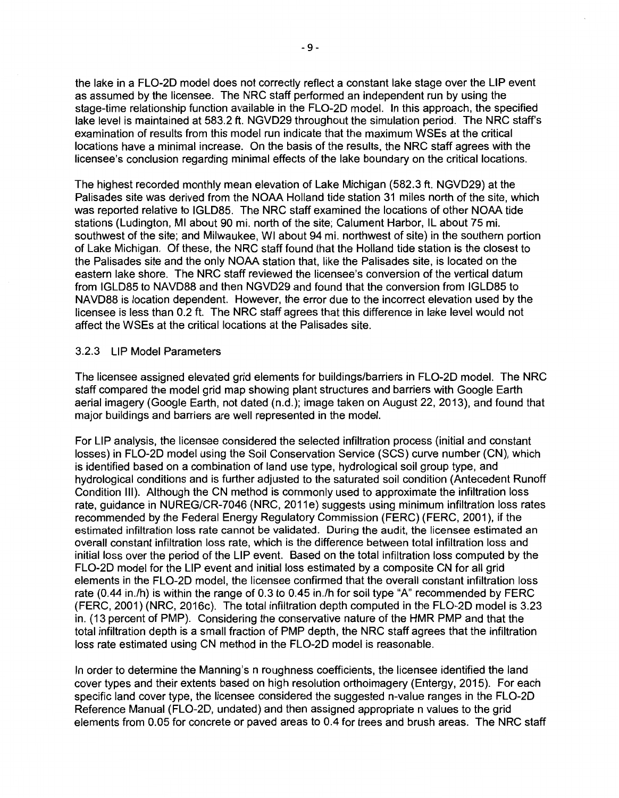the lake in a FL0-2D model does not correctly reflect a constant lake stage over the LIP event as assumed by the licensee. The NRC staff performed an independent run by using the stage-time relationship function available in the FL0-2D model. In this approach, the specified lake level is maintained at 583.2 ft. NGVD29 throughout the simulation period. The NRC staff's examination of results from this model run indicate that the maximum WSEs at the critical locations have a minimal increase. On the basis of the results, the NRC staff agrees with the licensee's conclusion regarding minimal effects of the lake boundary on the critical locations.

The highest recorded monthly mean elevation of Lake Michigan (582.3 ft. NGVD29) at the Palisades site was derived from the NOAA Holland tide station 31 miles north of the site, which was reported relative to IGLD85. The NRC staff examined the locations of other NOAA tide stations (Ludington, Ml about 90 mi. north of the site; Calument Harbor, IL about 75 mi. southwest of the site; and Milwaukee, WI about 94 mi. northwest of site) in the southern portion of Lake Michigan. Of these, the NRC staff found that the Holland tide station is the closest to the Palisades site and the only NOAA station that, like the Palisades site, is located on the eastern lake shore. The NRC staff reviewed the licensee's conversion of the vertical datum from IGLD85 to NAVD88 and then NGVD29 and found that the conversion from IGLD85 to NAVD88 is location dependent. However, the error due to the incorrect elevation used by the licensee is less than 0.2 ft. The NRC staff agrees that this difference in lake level would not affect the WSEs at the critical locations at the Palisades site.

# 3.2.3 LIP Model Parameters

The licensee assigned elevated grid elements for buildings/barriers in FL0-2D model. The NRC staff compared the model grid map showing plant structures and barriers with Google Earth aerial imagery (Google Earth, not dated (n.d.); image taken on August 22, 2013), and found that major buildings and barriers are well represented in the model.

For LIP analysis, the licensee considered the selected infiltration process (initial and constant losses) in FL0-2D model using the Soil Conservation Service (SCS) curve number (CN), which is identified based on a combination of land use type, hydrological soil group type, and hydrological conditions and is further adjusted to the saturated soil condition (Antecedent Runoff Condition Ill). Although the CN method is commonly used to approximate the infiltration loss rate, guidance in NUREG/CR-7046 (NRC, 2011e) suggests using minimum infiltration loss rates recommended by the Federal Energy Regulatory Commission (FERC) (FERC, 2001 ), if the estimated infiltration loss rate cannot be validated. During the audit, the licensee estimated an overall constant infiltration loss rate, which is the difference between total infiltration loss and initial loss over the period of the LIP event. Based on the total infiltration loss computed by the FL0-2D model for the LIP event and initial loss estimated by a composite CN for all grid elements in the FL0-2D model, the licensee confirmed that the overall constant infiltration loss rate  $(0.44$  in./h) is within the range of 0.3 to 0.45 in./h for soil type "A" recommended by FERC (FERC, 2001) (NRC, 2016c). The total infiltration depth computed in the FL0-2D model is 3.23 in. ( 13 percent of PMP). Considering the conservative nature of the HMR PMP and that the total infiltration depth is a small fraction of PMP depth, the NRC staff agrees that the infiltration loss rate estimated using CN method in the FL0-2D model is reasonable.

In order to determine the Manning's n roughness coefficients, the licensee identified the land cover types and their extents based on high resolution orthoimagery (Entergy, 2015). For each specific land cover type, the licensee considered the suggested n-value ranges in the FL0-2D Reference Manual (FL0-2D, undated) and then assigned appropriate n values to the grid elements from 0.05 for concrete or paved areas to 0.4 for trees and brush areas. The NRC staff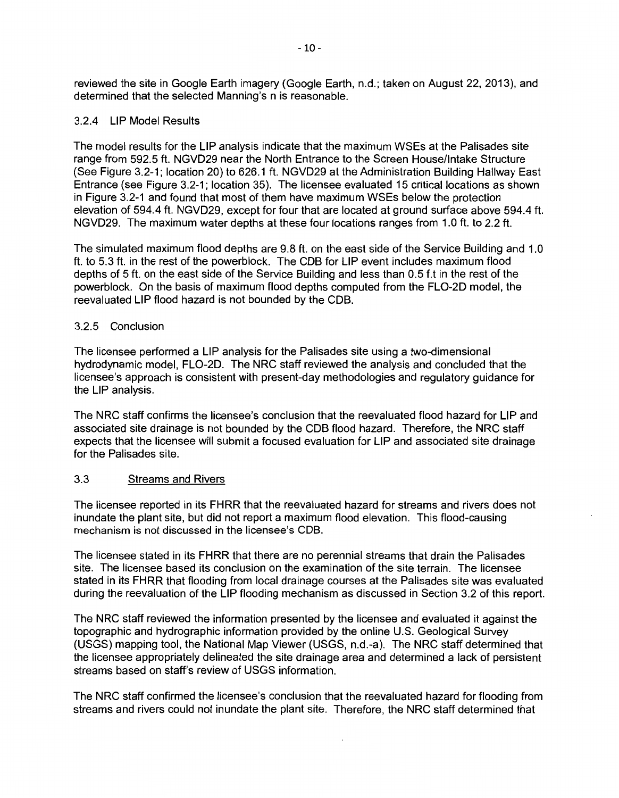reviewed the site in Google Earth imagery (Google Earth, n.d.; taken on August 22, 2013), and determined that the selected Manning's n is reasonable.

### 3.2.4 LIP Model Results

The model results for the LIP analysis indicate that the maximum WSEs at the Palisades site range from 592.5 ft. NGV029 near the North Entrance to the Screen House/Intake Structure (See Figure 3.2-1; location 20) to 626.1 ft. NGV029 at the Administration Building Hallway East Entrance (see Figure 3.2-1; location 35). The licensee evaluated 15 critical locations as shown in Figure 3.2-1 and found that most of them have maximum WSEs below the protection elevation of 594.4 ft. NGV029, except for four that are located at ground surface above 594.4 ft. NGVD29. The maximum water depths at these four locations ranges from 1.0 ft. to 2.2 ft.

The simulated maximum flood depths are 9.8 ft. on the east side of the Service Building and 1.0 ft. to 5.3 ft. in the rest of the powerblock. The COB for LIP event includes maximum flood depths of 5 ft. on the east side of the Service Building and less than 0.5 f.t in the rest of the powerblock. On the basis of maximum flood depths computed from the FL0-20 model, the reevaluated LIP flood hazard is not bounded by the COB.

# 3.2.5 Conclusion

The licensee performed a LIP analysis for the Palisades site using a two-dimensional hydrodynamic model, FL0-20. The NRC staff reviewed the analysis and concluded that the licensee's approach is consistent with present-day methodologies and regulatory guidance for the LIP analysis.

The NRC staff confirms the licensee's conclusion that the reevaluated flood hazard for LIP and associated site drainage is not bounded by the COB flood hazard. Therefore, the NRC staff expects that the licensee will submit a focused evaluation for LIP and associated site drainage for the Palisades site.

# 3.3 Streams and Rivers

The licensee reported in its FHRR that the reevaluated hazard for streams and rivers does not inundate the plant site, but did not report a maximum flood elevation. This flood-causing mechanism is not discussed in the licensee's COB.

The licensee stated in its FHRR that there are no perennial streams that drain the Palisades site. The licensee based its conclusion on the examination of the site terrain. The licensee stated in its FHRR that flooding from local drainage courses at the Palisades site was evaluated during the reevaluation of the LIP flooding mechanism as discussed in Section 3.2 of this report.

The NRC staff reviewed the information presented by the licensee and evaluated it against the topographic and hydrographic information provided by the online U.S. Geological Survey (USGS) mapping tool, the National Map Viewer (USGS, n.d.-a). The NRC staff determined that the licensee appropriately delineated the site drainage area and determined a lack of persistent streams based on staff's review of USGS information.

The NRC staff confirmed the licensee's conclusion that the reevaluated hazard for flooding from streams and rivers could not inundate the plant site. Therefore, the NRC staff determined that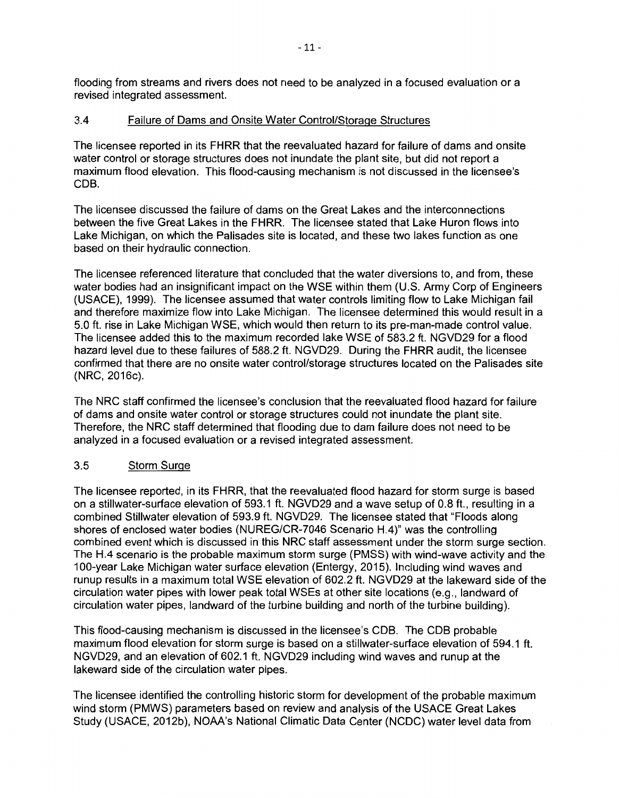flooding from streams and rivers does not need to be analyzed in a focused evaluation or a revised integrated assessment.

# 3.4 Failure of Dams and Onsite Water Control/Storage Structures

The licensee reported in its FHRR that the reevaluated hazard for failure of dams and onsite water control or storage structures does not inundate the plant site, but did not report a maximum flood elevation. This flood-causing mechanism is not discussed in the licensee's CDB.

The licensee discussed the failure of dams on the Great Lakes and the interconnections between the five Great Lakes in the FHRR. The licensee stated that Lake Huron flows into Lake Michigan, on which the Palisades site is located, and these two lakes function as one based on their hydraulic connection.

The licensee referenced literature that concluded that the water diversions to, and from, these water bodies had an insignificant impact on the WSE within them (U.S. Army Corp of Engineers (USAGE), 1999). The licensee assumed that water controls limiting flow to Lake Michigan fail and therefore maximize flow into Lake Michigan. The licensee determined this would result in a 5.0 ft. rise in Lake Michigan WSE, which would then return to its pre-man-made control value. The licensee added this to the maximum recorded lake WSE of 583.2 ft. NGVD29 for a flood hazard level due to these failures of 588.2 ft. NGVD29. During the FHRR audit, the licensee confirmed that there are no onsite water control/storage structures located on the Palisades site (NRC, 2016c).

The NRC staff confirmed the licensee's conclusion that the reevaluated flood hazard for failure of dams and onsite water control or storage structures could not inundate the plant site. Therefore, the NRC staff determined that flooding due to dam failure does not need to be analyzed in a focused evaluation or a revised integrated assessment.

# 3.5 Storm Surge

The licensee reported, in its FHRR, that the reevaluated flood hazard for storm surge is based on a stillwater-surface elevation of 593.1 ft. NGVD29 and a wave setup of 0.8 ft., resulting in a combined Stillwater elevation of 593.9 ft. NGVD29. The licensee stated that "Floods along shores of enclosed water bodies (NUREG/CR-7046 Scenario H.4)" was the controlling combined event which is discussed in this NRC staff assessment under the storm surge section. The H.4 scenario is the probable maximum storm surge (PMSS) with wind-wave activity and the 100-year Lake Michigan water surface elevation (Entergy, 2015). Including wind waves and runup results in a maximum total WSE elevation of 602.2 ft. NGVD29 at the lakeward side of the circulation water pipes with lower peak total WSEs at other site locations (e.g., landward of circulation water pipes, landward of the turbine building and north of the turbine building).

This flood-causing mechanism is discussed in the licensee's CDB. The CDB probable maximum flood elevation for storm surge is based on a stillwater-surface elevation of 594.1 ft. NGVD29, and an elevation of 602.1 ft. NGVD29 including wind waves and runup at the lakeward side of the circulation water pipes.

The licensee identified the controlling historic storm for development of the probable maximum wind storm (PMWS) parameters based on review and analysis of the USAGE Great Lakes Study (USACE, 2012b), NOAA's National Climatic Data Center (NCDC) water level data from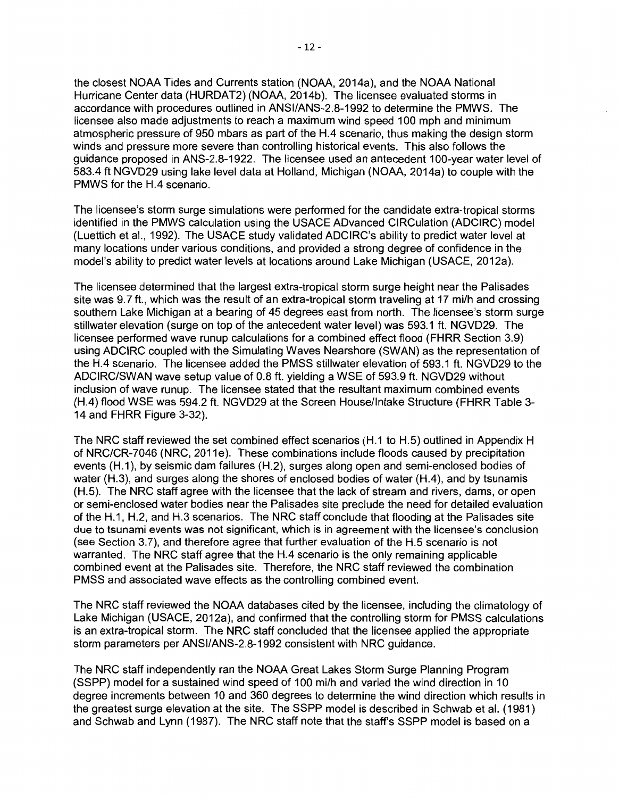the closest NOAA Tides and Currents station (NOAA, 2014a), and the NOAA National Hurricane Center data (HURDAT2) (NOAA, 2014b). The licensee evaluated storms in accordance with procedures outlined in ANSI/ANS-2.8-1992 to determine the PMWS. The licensee also made adjustments to reach a maximum wind speed 100 mph and minimum atmospheric pressure of 950 mbars as part of the H.4 scenario, thus making the design storm winds and pressure more severe than controlling historical events. This also follows the guidance proposed in ANS-2.8-1922. The licensee used an antecedent 100-year water level of 583.4 ft NGVD29 using lake level data at Holland, Michigan (NOAA, 2014a) to couple with the PMWS for the H.4 scenario.

The licensee's storm surge simulations were performed for the candidate extra-tropical storms identified in the PMWS calculation using the USACE ADvanced CIRCulation (ADCIRC) model (Luettich et al., 1992). The USACE study validated ADCIRC's ability to predict water level at many locations under various conditions, and provided a strong degree of confidence in the model's ability to predict water levels at locations around Lake Michigan (USACE, 2012a).

The licensee determined that the largest extra-tropical storm surge height near the Palisades site was 9.7 ft., which was the result of an extra-tropical storm traveling at 17 mi/h and crossing southern Lake Michigan at a bearing of 45 degrees east from north. The licensee's storm surge stillwater elevation (surge on top of the antecedent water level) was 593.1 ft. NGVD29. The licensee performed wave runup calculations for a combined effect flood (FHRR Section 3.9) using ADCIRC coupled with the Simulating Waves Nearshore (SWAN) as the representation of the H.4 scenario. The licensee added the PMSS stillwater elevation of 593.1 ft. NGVD29 to the ADCIRC/SWAN wave setup value of 0.8 ft. yielding a WSE of 593.9 ft. NGVD29 without inclusion of wave runup. The licensee stated that the resultant maximum combined events (H.4) flood WSE was 594.2 ft. NGVD29 at the Screen House/Intake Structure (FHRR Table 3- 14 and FHRR Figure 3-32).

The NRC staff reviewed the set combined effect scenarios (H.1 to H.5) outlined in Appendix H of NRC/CR-7046 (NRC, 2011e). These combinations include floods caused by precipitation events (H.1), by seismic dam failures (H.2), surges along open and semi-enclosed bodies of water (H.3), and surges along the shores of enclosed bodies of water (H.4), and by tsunamis (H.5). The NRC staff agree with the licensee that the lack of stream and rivers, dams, or open or semi-enclosed water bodies near the Palisades site preclude the need for detailed evaluation of the H.1, H.2, and H.3 scenarios. The NRC staff conclude that flooding at the Palisades site due to tsunami events was not significant, which is in agreement with the licensee's conclusion (see Section 3.7), and therefore agree that further evaluation of the H.5 scenario is not warranted. The NRC staff agree that the H.4 scenario is the only remaining applicable combined event at the Palisades site. Therefore, the NRC staff reviewed the combination PMSS and associated wave effects as the controlling combined event.

The NRC staff reviewed the NOAA databases cited by the licensee, including the climatology of Lake Michigan (USACE, 2012a), and confirmed that the controlling storm for PMSS calculations is an extra-tropical storm. The NRC staff concluded that the licensee applied the appropriate storm parameters per ANSI/ANS-2.8-1992 consistent with NRC guidance.

The NRC staff independently ran the NOAA Great Lakes Storm Surge Planning Program (SSPP) model for a sustained wind speed of 100 mi/h and varied the wind direction in 10 degree increments between 10 and 360 degrees to determine the wind direction which results in the greatest surge elevation at the site. The SSPP model is described in Schwab et al. ( 1981) and Schwab and Lynn (1987). The NRC staff note that the staff's SSPP model is based on a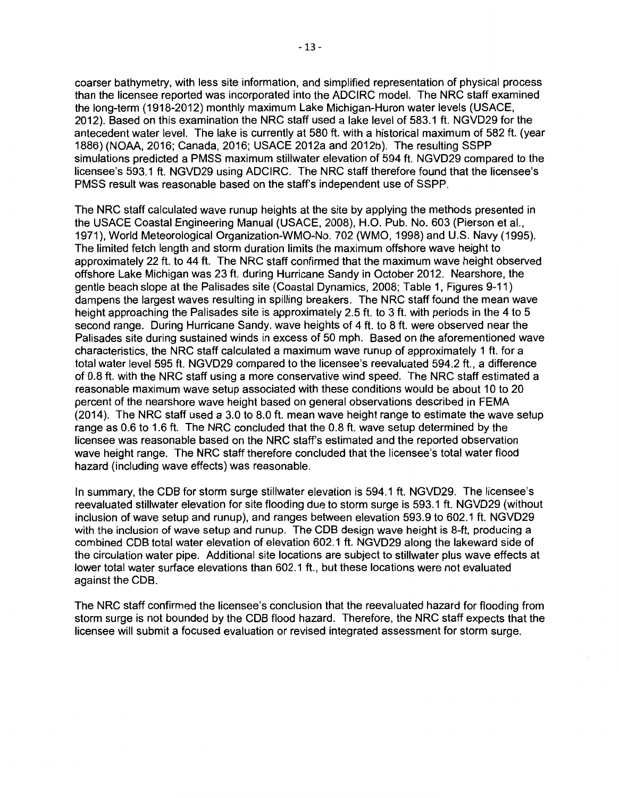coarser bathymetry, with less site information, and simplified representation of physical process than the licensee reported was incorporated into the ADCIRC model. The NRC staff examined the long-term (1918-2012) monthly maximum Lake Michigan-Huron water levels (USACE, 2012). Based on this examination the NRC staff used a lake level of 583.1 ft. NGVD29 for the antecedent water level. The lake is currently at 580 ft. with a historical maximum of 582 ft. (year 1886) (NOAA, 2016; Canada, 2016; USACE 2012a and 2012b). The resulting SSPP simulations predicted a PMSS maximum stillwater elevation of 594 ft. NGVD29 compared to the licensee's 593.1 ft. NGVD29 using ADCIRC. The NRC staff therefore found that the licensee's PMSS result was reasonable based on the staff's independent use of SSPP.

The NRC staff calculated wave runup heights at the site by applying the methods presented in the USACE Coastal Engineering Manual (USACE, 2008), H.O. Pub. No. 603 (Pierson et al., 1971), World Meteorological Organization-WMO-No. 702 (WMO, 1998) and U.S. Navy (1995). The limited fetch length and storm duration limits the maximum offshore wave height to approximately 22 ft. to 44 ft. The NRC staff confirmed that the maximum wave height observed offshore Lake Michigan was 23 ft. during Hurricane Sandy in October 2012. Nearshore, the gentle beach slope at the Palisades site (Coastal Dynamics, 2008; Table 1, Figures 9-11) dampens the largest waves resulting in spilling breakers. The NRC staff found the mean wave height approaching the Palisades site is approximately 2.5 ft. to 3 ft. with periods in the 4 to 5 second range. During Hurricane Sandy, wave heights of 4 ft. to 8 ft. were observed near the Palisades site during sustained winds in excess of 50 mph. Based on the aforementioned wave characteristics, the NRC staff calculated a maximum wave runup of approximately 1 ft. for a total water level 595 ft. NGVD29 compared to the licensee's reevaluated 594.2 ft., a difference of 0.8 ft. with the NRC staff using a more conservative wind speed. The NRC staff estimated a reasonable maximum wave setup associated with these conditions would be about 10 to 20 percent of the nearshore wave height based on general observations described in FEMA (2014). The NRC staff used a 3.0 to 8.0 ft. mean wave height range to estimate the wave setup range as 0.6 to 1.6 ft. The NRC concluded that the 0.8 ft. wave setup determined by the licensee was reasonable based on the NRC staff's estimated and the reported observation wave height range. The NRC staff therefore concluded that the licensee's total water flood hazard (including wave effects) was reasonable.

In summary, the COB for storm surge stillwater elevation is 594.1 ft. NGVD29. The licensee's reevaluated stillwater elevation for site flooding due to storm surge is 593.1 ft. NGVD29 (without inclusion of wave setup and runup), and ranges between elevation 593.9 to 602.1 ft. NGVD29 with the inclusion of wave setup and runup. The COB design wave height is 8-ft, producing a combined COB total water elevation of elevation 602.1 ft. NGVD29 along the lakeward side of the circulation water pipe. Additional site locations are subject to stillwater plus wave effects at lower total water surface elevations than 602.1 ft., but these locations were not evaluated against the COB.

The NRC staff confirmed the licensee's conclusion that the reevaluated hazard for flooding from storm surge is not bounded by the COB flood hazard. Therefore, the NRC staff expects that the licensee will submit a focused evaluation or revised integrated assessment for storm surge.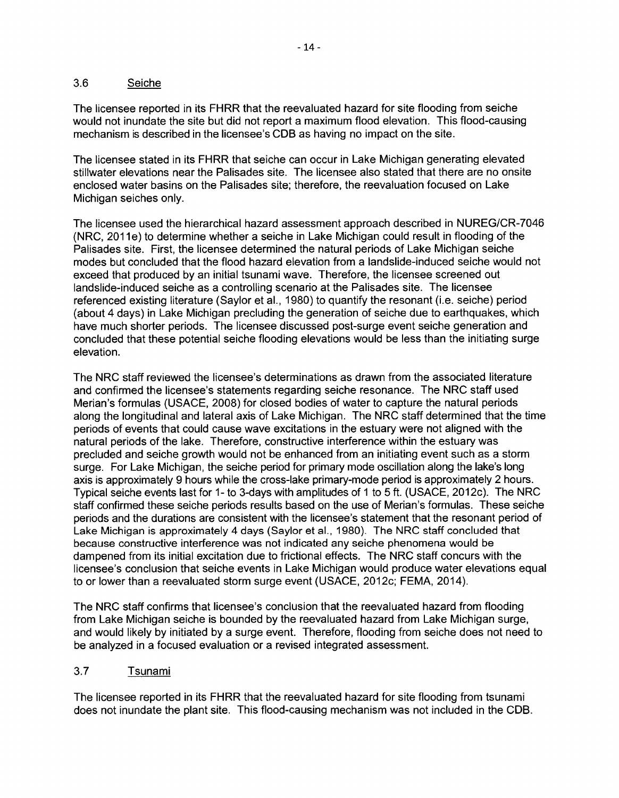# 3.6 Seiche

The licensee reported in its FHRR that the reevaluated hazard for site flooding from seiche would not inundate the site but did not report a maximum flood elevation. This flood-causing mechanism is described in the licensee's COB as having no impact on the site.

The licensee stated in its FHRR that seiche can occur in Lake Michigan generating elevated stillwater elevations near the Palisades site. The licensee also stated that there are no onsite enclosed water basins on the Palisades site; therefore, the reevaluation focused on Lake Michigan seiches only.

The licensee used the hierarchical hazard assessment approach described in NUREG/CR-7046 (NRC, 2011e) to determine whether a seiche in Lake Michigan could result in flooding of the Palisades site. First, the licensee determined the natural periods of Lake Michigan seiche modes but concluded that the flood hazard elevation from a landslide-induced seiche would not exceed that produced by an initial tsunami wave. Therefore, the licensee screened out landslide-induced seiche as a controlling scenario at the Palisades site. The licensee referenced existing literature (Saylor et al., 1980) to quantify the resonant (i.e. seiche) period (about 4 days) in Lake Michigan precluding the generation of seiche due to earthquakes, which have much shorter periods. The licensee discussed post-surge event seiche generation and concluded that these potential seiche flooding elevations would be less than the initiating surge elevation.

The NRC staff reviewed the licensee's determinations as drawn from the associated literature and confirmed the licensee's statements regarding seiche resonance. The NRC staff used Marian's formulas (USAGE, 2008) for closed bodies of water to capture the natural periods along the longitudinal and lateral axis of Lake Michigan. The NRC staff determined that the time periods of events that could cause wave excitations in the estuary were not aligned with the natural periods of the lake. Therefore, constructive interference within the estuary was precluded and seiche growth would not be enhanced from an initiating event such as a storm surge. For Lake Michigan, the seiche period for primary mode oscillation along the lake's long axis is approximately 9 hours while the cross-lake primary-mode period is approximately 2 hours. Typical seiche events last for 1- to 3-days with amplitudes of 1 to 5 ft. (USAGE, 2012c). The NRC staff confirmed these seiche periods results based on the use of Merian's formulas. These seiche periods and the durations are consistent with the licensee's statement that the resonant period of Lake Michigan is approximately 4 days (Saylor et al., 1980). The NRC staff concluded that because constructive interference was not indicated any seiche phenomena would be dampened from its initial excitation due to frictional effects. The NRC staff concurs with the licensee's conclusion that seiche events in Lake Michigan would produce water elevations equal to or lower than a reevaluated storm surge event (USAGE, 2012c; FEMA, 2014).

The NRC staff confirms that licensee's conclusion that the reevaluated hazard from flooding from Lake Michigan seiche is bounded by the reevaluated hazard from Lake Michigan surge, and would likely by initiated by a surge event. Therefore, flooding from seiche does not need to be analyzed in a focused evaluation or a revised integrated assessment.

# 3.7 Tsunami

The licensee reported in its FHRR that the reevaluated hazard for site flooding from tsunami does not inundate the plant site. This flood-causing mechanism was not included in the COB.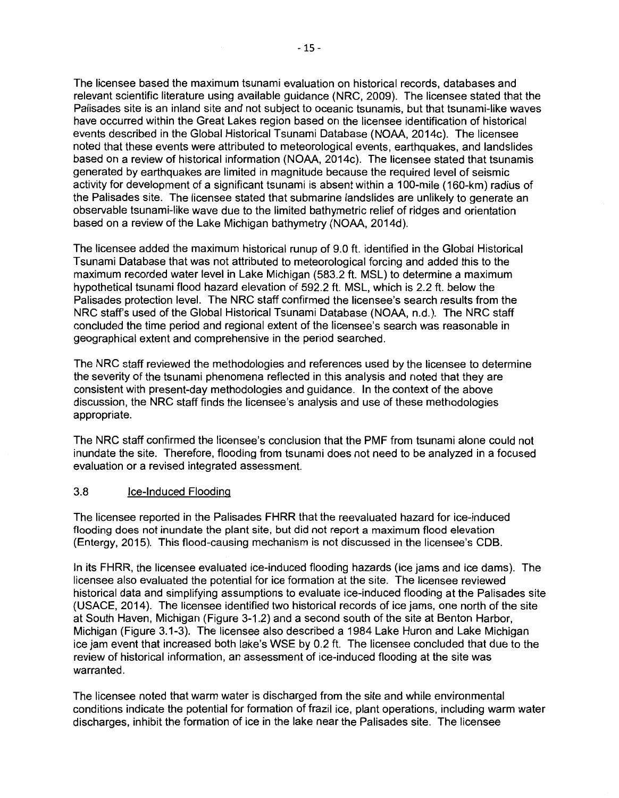The licensee based the maximum tsunami evaluation on historical records, databases and relevant scientific literature using available guidance (NRC, 2009). The licensee stated that the Palisades site is an inland site and not subject to oceanic tsunamis, but that tsunami-like waves have occurred within the Great Lakes region based on the licensee identification of historical events described in the Global Historical Tsunami Database (NOAA, 2014c). The licensee noted that these events were attributed to meteorological events, earthquakes, and landslides based on a review of historical information (NOAA, 2014c). The licensee stated that tsunamis generated by earthquakes are limited in magnitude because the required level of seismic activity for development of a significant tsunami is absent within a 100-mile (160-km) radius of the Palisades site. The licensee stated that submarine landslides are unlikely to generate an observable tsunami-like wave due to the limited bathymetric relief of ridges and orientation based on a review of the Lake Michigan bathymetry (NOAA, 2014d).

The licensee added the maximum historical runup of 9.0 ft. identified in the Global Historical Tsunami Database that was not attributed to meteorological forcing and added this to the maximum recorded water level in Lake Michigan (583.2 ft. MSL) to determine a maximum hypothetical tsunami flood hazard elevation of 592.2 ft. MSL, which is 2.2 ft. below the Palisades protection level. The NRC staff confirmed the licensee's search results from the NRC staff's used of the Global Historical Tsunami Database (NOAA, n.d.). The NRC staff concluded the time period and regional extent of the licensee's search was reasonable in geographical extent and comprehensive in the period searched.

The NRC staff reviewed the methodologies and references used by the licensee to determine the severity of the tsunami phenomena reflected in this analysis and noted that they are consistent with present-day methodologies and guidance. In the context of the above discussion, the NRC staff finds the licensee's analysis and use of these methodologies appropriate.

The NRC staff confirmed the licensee's conclusion that the PMF from tsunami alone could not inundate the site. Therefore, flooding from tsunami does not need to be analyzed in a focused evaluation or a revised integrated assessment.

### 3.8 Ice-Induced Flooding

The licensee reported in the Palisades FHRR that the reevaluated hazard for ice-induced flooding does not inundate the plant site, but did not report a maximum flood elevation (Entergy, 2015). This flood-causing mechanism is not discussed in the licensee's COB.

In its FHRR, the licensee evaluated ice-induced flooding hazards (ice jams and ice dams). The licensee also evaluated the potential for ice formation at the site. The licensee reviewed historical data and simplifying assumptions to evaluate ice-induced flooding at the Palisades site (USACE, 2014). The licensee identified two historical records of ice jams, one north of the site at South Haven, Michigan (Figure 3-1.2) and a second south of the site at Benton Harbor, Michigan (Figure 3.1-3). The licensee also described a 1984 Lake Huron and Lake Michigan ice jam event that increased both lake's WSE by 0.2 ft. The licensee concluded that due to the review of historical information, an assessment of ice-induced flooding at the site was warranted.

The licensee noted that warm water is discharged from the site and while environmental conditions indicate the potential for formation of frazil ice, plant operations, including warm water discharges, inhibit the formation of ice in the lake near the Palisades site. The licensee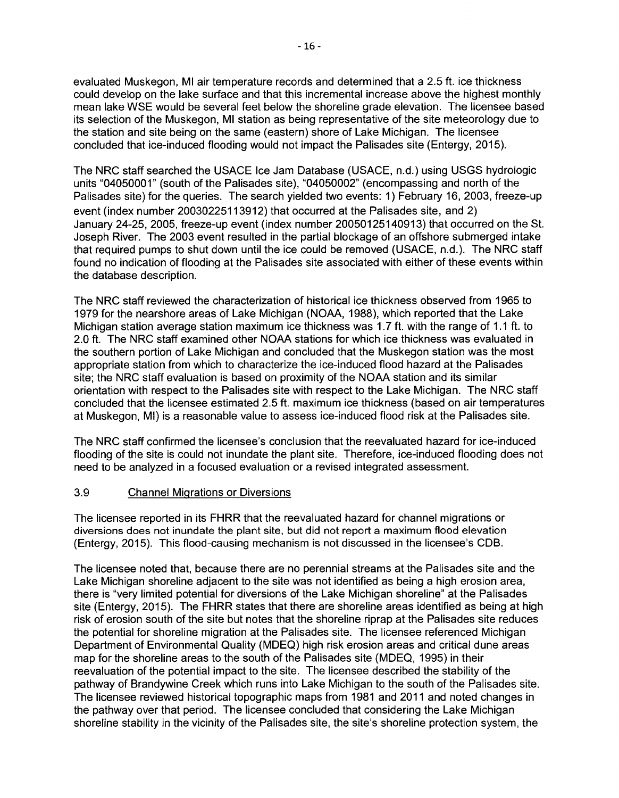evaluated Muskegon, Ml air temperature records and determined that a 2.5 ft. ice thickness could develop on the lake surface and that this incremental increase above the highest monthly mean lake WSE would be several feet below the shoreline grade elevation. The licensee based its selection of the Muskegon, Ml station as being representative of the site meteorology due to the station and site being on the same (eastern) shore of Lake Michigan. The licensee concluded that ice-induced flooding would not impact the Palisades site (Entergy, 2015).

The NRC staff searched the USAGE Ice Jam Database (USAGE, n.d.) using USGS hydrologic units "04050001" (south of the Palisades site), "04050002" (encompassing and north of the Palisades site) for the queries. The search yielded two events: 1) February 16, 2003, freeze-up event (index number 20030225113912) that occurred at the Palisades site, and 2) January 24-25, 2005, freeze-up event (index number 20050125140913) that occurred on the St. Joseph River. The 2003 event resulted in the partial blockage of an offshore submerged intake that required pumps to shut down until the ice could be removed (USAGE, n.d.). The NRC staff found no indication of flooding at the Palisades site associated with either of these events within the database description.

The NRC staff reviewed the characterization of historical ice thickness observed from 1965 to 1979 for the nearshore areas of Lake Michigan (NOAA, 1988), which reported that the Lake Michigan station average station maximum ice thickness was 1. 7 ft. with the range of 1.1 ft. to 2.0 ft. The NRC staff examined other NOAA stations for which ice thickness was evaluated in the southern portion of Lake Michigan and concluded that the Muskegon station was the most appropriate station from which to characterize the ice-induced flood hazard at the Palisades site; the NRC staff evaluation is based on proximity of the NOAA station and its similar orientation with respect to the Palisades site with respect to the Lake Michigan. The NRC staff concluded that the licensee estimated 2.5 ft. maximum ice thickness (based on air temperatures at Muskegon, Ml) is a reasonable value to assess ice-induced flood risk at the Palisades site.

The NRC staff confirmed the licensee's conclusion that the reevaluated hazard for ice-induced flooding of the site is could not inundate the plant site. Therefore, ice-induced flooding does not need to be analyzed in a focused evaluation or a revised integrated assessment.

# 3.9 Channel Migrations or Diversions

The licensee reported in its FHRR that the reevaluated hazard for channel migrations or diversions does not inundate the plant site, but did not report a maximum flood elevation (Entergy, 2015). This flood-causing mechanism is not discussed in the licensee's COB.

The licensee noted that, because there are no perennial streams at the Palisades site and the Lake Michigan shoreline adjacent to the site was not identified as being a high erosion area, there is "very limited potential for diversions of the Lake Michigan shoreline" at the Palisades site (Entergy, 2015). The FHRR states that there are shoreline areas identified as being at high risk of erosion south of the site but notes that the shoreline riprap at the Palisades site reduces the potential for shoreline migration at the Palisades site. The licensee referenced Michigan Department of Environmental Quality (MDEQ) high risk erosion areas and critical dune areas map for the shoreline areas to the south of the Palisades site (MDEQ, 1995) in their reevaluation of the potential impact to the site. The licensee described the stability of the pathway of Brandywine Creek which runs into Lake Michigan to the south of the Palisades site. The licensee reviewed historical topographic maps from 1981 and 2011 and noted changes in the pathway over that period. The licensee concluded that considering the Lake Michigan shoreline stability in the vicinity of the Palisades site, the site's shoreline protection system, the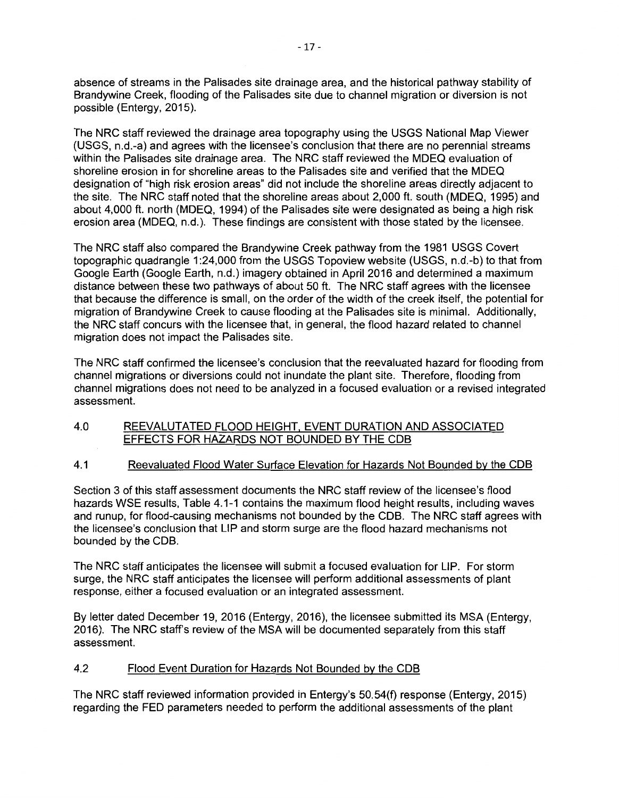absence of streams in the Palisades site drainage area, and the historical pathway stability of Brandywine Creek, flooding of the Palisades site due to channel migration or diversion is not possible (Entergy, 2015).

The NRC staff reviewed the drainage area topography using the USGS National Map Viewer (USGS, n.d.-a) and agrees with the licensee's conclusion that there are no perennial streams within the Palisades site drainage area. The NRC staff reviewed the MDEQ evaluation of shoreline erosion in for shoreline areas to the Palisades site and verified that the MDEQ designation of "high risk erosion areas" did not include the shoreline areas directly adjacent to the site. The NRC staff noted that the shoreline areas about 2,000 ft. south (MDEQ, 1995) and about 4,000 ft. north (MDEQ, 1994) of the Palisades site were designated as being a high risk erosion area (MDEQ, n.d.). These findings are consistent with those stated by the licensee.

The NRC staff also compared the Brandywine Creek pathway from the 1981 USGS Covert topographic quadrangle 1 :24,000 from the USGS Topoview website (USGS, n.d.-b) to that from Google Earth (Google Earth, n.d.) imagery obtained in April 2016 and determined a maximum distance between these two pathways of about 50 ft. The NRC staff agrees with the licensee that because the difference is small, on the order of the width of the creek itself, the potential for migration of Brandywine Creek to cause flooding at the Palisades site is minimal. Additionally, the NRC staff concurs with the licensee that, in general, the flood hazard related to channel migration does not impact the Palisades site.

The NRC staff confirmed the licensee's conclusion that the reevaluated hazard for flooding from channel migrations or diversions could not inundate the plant site. Therefore, flooding from channel migrations does not need to be analyzed in a focused evaluation or a revised integrated assessment.

#### 4.0 REEVALUTATED FLOOD HEIGHT, EVENT DURATION AND ASSOCIATED EFFECTS FOR HAZARDS NOT BOUNDED BY THE COB

#### 4.1 Reevaluated Flood Water Surface Elevation for Hazards Not Bounded by the COB

Section 3 of this staff assessment documents the NRC staff review of the licensee's flood hazards WSE results, Table 4.1-1 contains the maximum flood height results, including waves and runup, for flood-causing mechanisms not bounded by the COB. The NRC staff agrees with the licensee's conclusion that LIP and storm surge are the flood hazard mechanisms not bounded by the COB.

The NRC staff anticipates the licensee will submit a focused evaluation for LIP. For storm surge, the NRC staff anticipates the licensee will perform additional assessments of plant response, either a focused evaluation or an integrated assessment.

By letter dated December 19, 2016 (Entergy, 2016), the licensee submitted its MSA (Entergy, 2016). The NRC staff's review of the MSA will be documented separately from this staff assessment.

# 4.2 Flood Event Duration for Hazards Not Bounded by the COB

The NRC staff reviewed information provided in Entergy's 50.54(f) response (Entergy, 2015) regarding the FED parameters needed to perform the additional assessments of the plant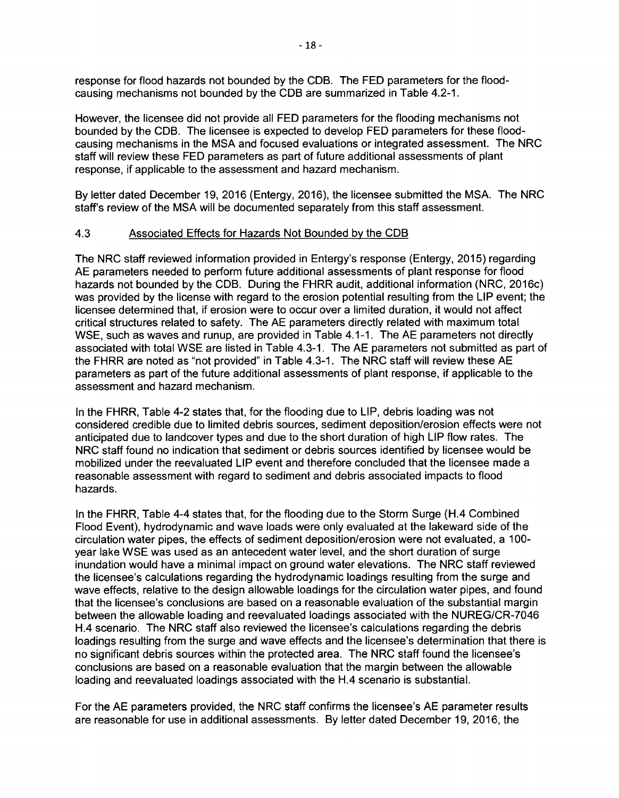response for flood hazards not bounded by the COB. The FED parameters for the floodcausing mechanisms not bounded by the COB are summarized in Table 4.2-1.

However, the licensee did not provide all FED parameters for the flooding mechanisms not bounded by the COB. The licensee is expected to develop FED parameters for these floodcausing mechanisms in the MSA and focused evaluations or integrated assessment. The NRC staff will review these FED parameters as part of future additional assessments of plant response, if applicable to the assessment and hazard mechanism.

By letter dated December 19, 2016 (Entergy, 2016), the licensee submitted the MSA. The NRC staff's review of the MSA will be documented separately from this staff assessment.

#### 4.3 Associated Effects for Hazards Not Bounded by the COB

The NRC staff reviewed information provided in Entergy's response (Entergy, 2015) regarding AE parameters needed to perform future additional assessments of plant response for flood hazards not bounded by the COB. During the FHRR audit, additional information (NRC, 2016c) was provided by the license with regard to the erosion potential resulting from the LIP event; the licensee determined that, if erosion were to occur over a limited duration, it would not affect critical structures related to safety. The AE parameters directly related with maximum total WSE, such as waves and runup, are provided in Table 4.1-1. The AE parameters not directly associated with total WSE are listed in Table 4.3-1. The AE parameters not submitted as part of the FHRR are noted as "not provided" in Table 4.3-1. The NRC staff will review these AE parameters as part of the future additional assessments of plant response, if applicable to the assessment and hazard mechanism.

In the FHRR, Table 4-2 states that, for the flooding due to LIP, debris loading was not considered credible due to limited debris sources, sediment deposition/erosion effects were not anticipated due to landcover types and due to the short duration of high LIP flow rates. The NRC staff found no indication that sediment or debris sources identified by licensee would be mobilized under the reevaluated LIP event and therefore concluded that the licensee made a reasonable assessment with regard to sediment and debris associated impacts to flood hazards.

In the FHRR, Table 4-4 states that, for the flooding due to the Storm Surge (H.4 Combined Flood Event), hydrodynamic and wave loads were only evaluated at the lakeward side of the circulation water pipes, the effects of sediment deposition/erosion were not evaluated, a 100 year lake WSE was used as an antecedent water level, and the short duration of surge inundation would have a minimal impact on ground water elevations. The NRC staff reviewed the licensee's calculations regarding the hydrodynamic loadings resulting from the surge and wave effects, relative to the design allowable loadings for the circulation water pipes, and found that the licensee's conclusions are based on a reasonable evaluation of the substantial margin between the allowable loading and reevaluated loadings associated with the NUREG/CR-7046 H.4 scenario. The NRC staff also reviewed the licensee's calculations regarding the debris loadings resulting from the surge and wave effects and the licensee's determination that there is no significant debris sources within the protected area. The NRC staff found the licensee's conclusions are based on a reasonable evaluation that the margin between the allowable loading and reevaluated loadings associated with the H.4 scenario is substantial.

For the AE parameters provided, the NRC staff confirms the licensee's AE parameter results are reasonable for use in additional assessments. By letter dated December 19, 2016, the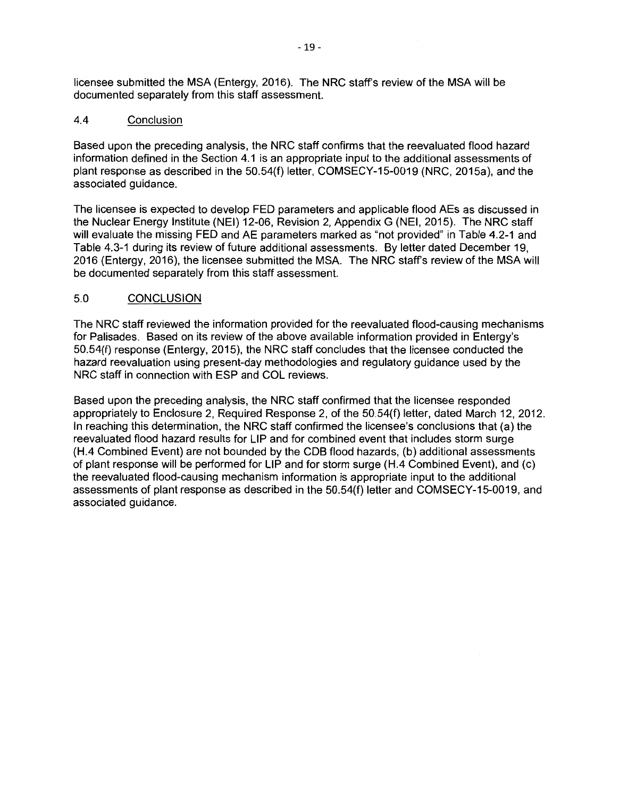licensee submitted the MSA (Entergy, 2016). The NRC staff's review of the MSA will be documented separately from this staff assessment.

# 4.4 Conclusion

Based upon the preceding analysis, the NRC staff confirms that the reevaluated flood hazard information defined in the Section 4.1 is an appropriate input to the additional assessments of plant response as described in the 50.54(f) letter, COMSECY-15-0019 (NRC, 2015a), and the associated guidance.

The licensee is expected to develop FED parameters and applicable flood AEs as discussed in the Nuclear Energy Institute (NEI) 12-06, Revision 2, Appendix G (NEI, 2015). The NRC staff will evaluate the missing **FED** and AE parameters marked as "not provided" in Table 4.2-1 and Table 4.3-1 during its review of future additional assessments. By letter dated December 19, 2016 (Entergy, 2016), the licensee submitted the MSA. The NRC staff's review of the MSAwill be documented separately from this staff assessment.

# 5.0 CONCLUSION

The NRC staff reviewed the information provided for the reevaluated flood-causing mechanisms for Palisades. Based on its review of the above available information provided in Entergy's 50.54(f) response (Entergy, 2015), the NRC staff concludes that the licensee conducted the hazard reevaluation using present-day methodologies and regulatory guidance used by the NRC staff in connection with ESP and COL reviews.

Based upon the preceding analysis, the NRC staff confirmed that the licensee responded appropriately to Enclosure 2, Required Response 2, of the 50.54(f) letter, dated March 12, 2012. In reaching this determination, the NRC staff confirmed the licensee's conclusions that (a) the reevaluated flood hazard results for LIP and for combined event that includes storm surge (H.4 Combined Event) are not bounded by the CDB flood hazards, (b) additional assessments of plant response will be performed for LIP and for storm surge (H.4 Combined Event), and (c) the reevaluated flood-causing mechanism information is appropriate input to the additional assessments of plant response as described in the 50.54(f) letter and COMSECY-15-0019, and associated guidance.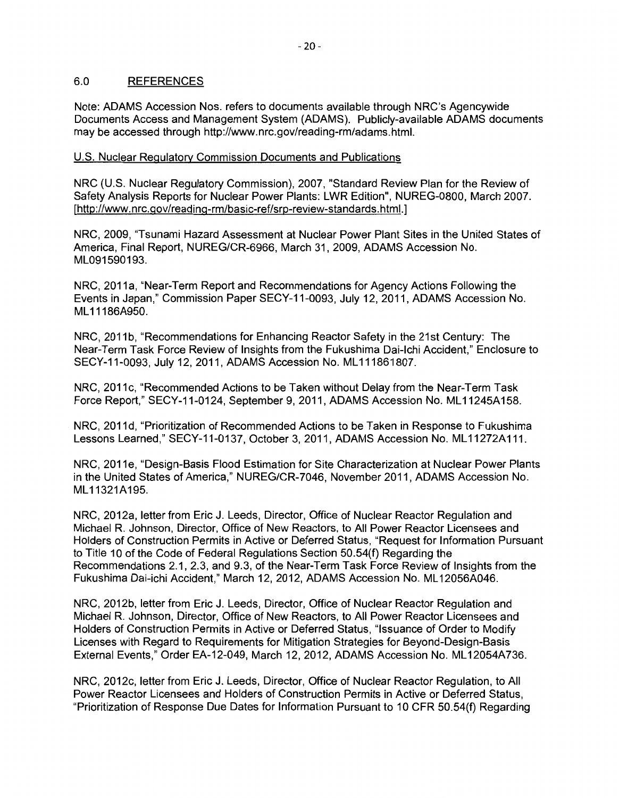## 6.0 REFERENCES

Note: ADAMS Accession Nos. refers to documents available through NRC's Agencywide Documents Access and Management System (ADAMS). Publicly-available ADAMS documents may be accessed through http://www.nrc.gov/reading-rm/adams.html.

# U.S. Nuclear Regulatory Commission Documents and Publications

NRC (U.S. Nuclear Regulatory Commission), 2007, "Standard Review Plan for the Review of Safety Analysis Reports for Nuclear Power Plants: LWR Edition", NUREG-0800, March 2007. [http://www.nrc.gov/reading-rm/basic-ref/srp-review-standards.html.]

NRC, 2009, "Tsunami Hazard Assessment at Nuclear Power Plant Sites in the United States of America, Final Report, NUREG/CR-6966, March 31, 2009, ADAMS Accession No. ML091590193.

NRC, 2011a, "Near-Term Report and Recommendations for Agency Actions Following the Events in Japan," Commission Paper SECY-11-0093, July 12, 2011, ADAMS Accession No. ML11186A950.

NRC, 2011b, "Recommendations for Enhancing Reactor Safety in the 21st Century: The Near-Term Task Force Review of Insights from the Fukushima Dai-lchi Accident," Enclosure to SECY-11-0093, July 12, 2011, ADAMS Accession No. ML 111861807.

NRC, 2011c, "Recommended Actions to be Taken without Delay from the Near-Term Task Force Report," SECY-11-0124, September 9, 2011, ADAMS Accession No. ML11245A158.

NRC, 2011d, "Prioritization of Recommended Actions to be Taken in Response to Fukushima Lessons Learned," SECY-11-0137, October 3, 2011, ADAMS Accession No. ML11272A111.

NRC, 2011e, "Design-Basis Flood Estimation for Site Characterization at Nuclear Power Plants in the United States of America," NUREG/CR-7046, November 2011, ADAMS Accession No. ML11321A195.

NRC, 2012a, letter from Eric J. Leeds, Director, Office of Nuclear Reactor Regulation and Michael R. Johnson, Director, Office of New Reactors, to All Power Reactor Licensees and Holders of Construction Permits in Active or Deferred Status, "Request for Information Pursuant to Title 10 of the Code of Federal Regulations Section 50.54(f) Regarding the Recommendations 2.1, 2.3, and 9.3, of the Near-Term Task Force Review of Insights from the Fukushima Dai-ichi Accident," March 12, 2012, ADAMS Accession No. ML 12056A046.

NRC, 2012b, letter from Eric J. Leeds, Director, Office of Nuclear Reactor Regulation and Michael R. Johnson, Director, Office of New Reactors, to All Power Reactor Licensees and Holders of Construction Permits in Active or Deferred Status, "Issuance of Order to Modify Licenses with Regard to Requirements for Mitigation Strategies for Beyond-Design-Basis External Events," Order EA-12-049, March 12, 2012, ADAMS Accession No. ML12054A736.

NRC, 2012c, letter from Eric J. Leeds, Director, Office of Nuclear Reactor Regulation, to All Power Reactor Licensees and Holders of Construction Permits in Active or Deferred Status, "Prioritization of Response Due Dates for Information Pursuant to 10 CFR 50.54(f) Regarding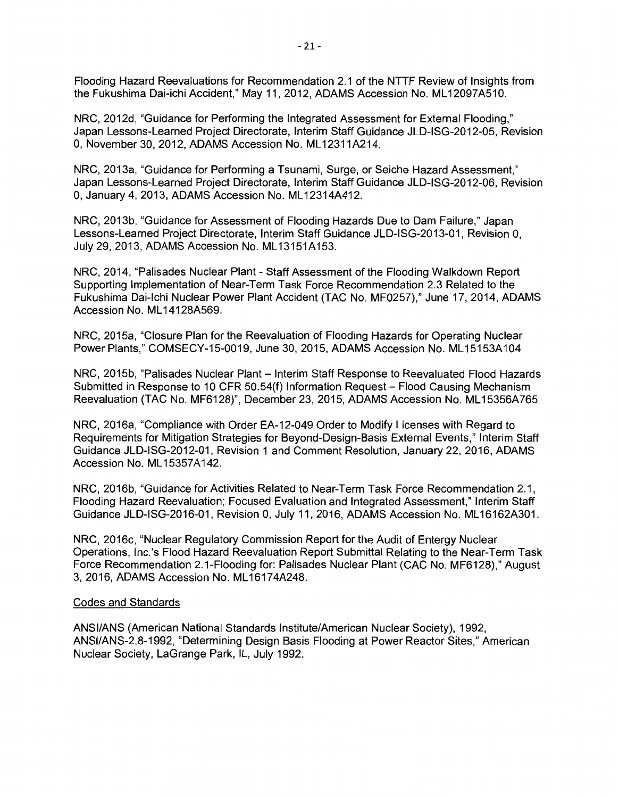Flooding Hazard Reevaluations for Recommendation 2.1 of the NTTF Review of Insights from the Fukushima Dai-ichi Accident," May 11, 2012, ADAMS Accession No. ML12097A510.

NRC, 2012d, "Guidance for Performing the Integrated Assessment for External Flooding," Japan Lessons-Learned Project Directorate, Interim Staff Guidance JLD-ISG-2012-05, Revision 0, November 30, 2012, ADAMS Accession No. ML 12311A214.

NRC, 2013a, "Guidance for Performing a Tsunami, Surge, or Seiche Hazard Assessment," Japan Lessons-Learned Project Directorate, Interim Staff Guidance JLD-ISG-2012-06, Revision 0, January 4, 2013, ADAMS Accession No. ML 12314A412.

NRC, 2013b, "Guidance for Assessment of Flooding Hazards Due to Dam Failure," Japan Lessons-Learned Project Directorate, Interim Staff Guidance JLD-ISG-2013-01, Revision 0, July 29, 2013, ADAMS Accession No. ML 13151A153.

NRC, 2014, "Palisades Nuclear Plant - Staff Assessment of the Flooding Walkdown Report Supporting Implementation of Near-Term Task Force Recommendation 2.3 Related to the Fukushima Dai-lchi Nuclear Power Plant Accident (TAC No. MF0257)," June 17, 2014, ADAMS Accession No. ML 14128A569.

NRC, 2015a, "Closure Plan for the Reevaluation of Flooding Hazards for Operating Nuclear Power Plants," COMSECY-15-0019, June 30, 2015, ADAMS Accession No. ML15153A104

NRC, 2015b, "Palisades Nuclear Plant - Interim Staff Response to Reevaluated Flood Hazards Submitted in Response to 10 CFR 50.54(f) Information Request - Flood Causing Mechanism Reevaluation (TAC No. MF6128)", December 23, 2015, ADAMS Accession No. ML15356A765.

NRC, 2016a, "Compliance with Order EA-12-049 Order to Modify Licenses with Regard to Requirements for Mitigation Strategies for Beyond-Design-Basis External Events," Interim Staff Guidance JLD-ISG-2012-01, Revision 1 and Comment Resolution, January 22, 2016, ADAMS Accession No. ML 15357A142.

NRC, 2016b, "Guidance for Activities Related to Near-Term Task Force Recommendation 2.1, Flooding Hazard Reevaluation; Focused Evaluation and Integrated Assessment," Interim Staff Guidance JLD-ISG-2016-01, Revision 0, July 11, 2016, ADAMS Accession No. ML 16162A301.

NRC, 2016c, "Nuclear Regulatory Commission Report for the Audit of Entergy Nuclear Operations, lnc.'s Flood Hazard Reevaluation Report Submittal Relating to the Near-Term Task Force Recommendation 2.1-Flooding for: Palisades Nuclear Plant (CAC No. MF6128)," August 3, 2016, ADAMS Accession No. ML 16174A248.

#### Codes and Standards

ANSI/ANS (American National Standards Institute/American Nuclear Society), 1992, ANSI/ANS-2.8-1992, "Determining Design Basis Flooding at Power Reactor Sites," American Nuclear Society, LaGrange Park, IL, July 1992.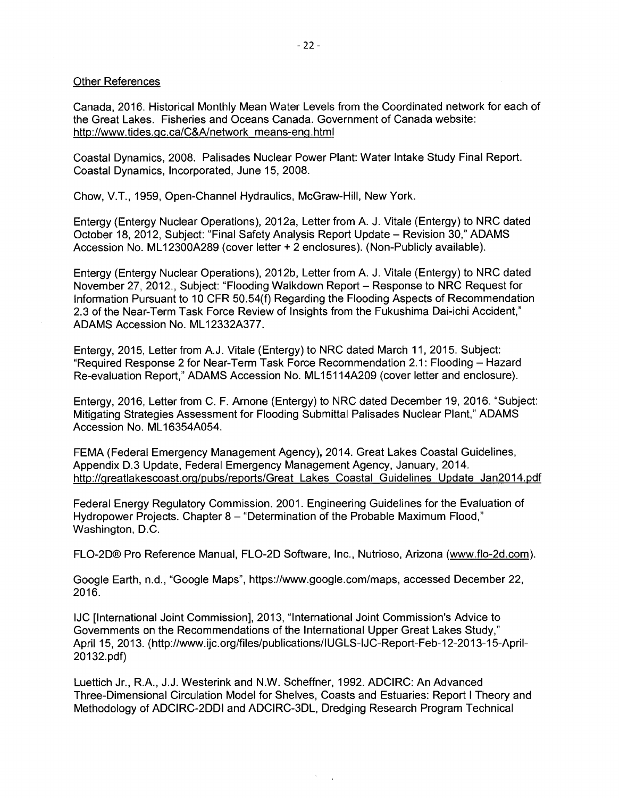#### Other References

Canada, 2016. Historical Monthly Mean Water Levels from the Coordinated network for each of the Great Lakes. Fisheries and Oceans Canada. Government of Canada website: http://www.tides.gc.ca/C&A/network means-eng.html

Coastal Dynamics, 2008. Palisades Nuclear Power Plant: Water Intake Study Final Report. Coastal Dynamics, Incorporated, June 15, 2008.

Chow, V.T., 1959, Open-Channel Hydraulics, McGraw-Hill, New York.

Entergy (Entergy Nuclear Operations), 2012a, Letter from A. J. Vitale (Entergy) to NRC dated October 18, 2012, Subject: "Final Safety Analysis Report Update - Revision 30," ADAMS Accession No. ML12300A289 (cover letter + 2 enclosures). (Non-Publicly available).

Entergy (Entergy Nuclear Operations), 2012b, Letter from A. J. Vitale (Entergy) to NRC dated November 27, 2012., Subject: "Flooding Walkdown Report - Response to NRC Request for Information Pursuant to 10 CFR 50.54(f) Regarding the Flooding Aspects of Recommendation 2.3 of the Near-Term Task Force Review of Insights from the Fukushima Dai-ichi Accident," ADAMS Accession No. ML 12332A377.

Entergy, 2015, Letter from A.J. Vitale (Entergy) to NRC dated March 11, 2015. Subject: "Required Response 2 for Near-Term Task Force Recommendation 2.1: Flooding - Hazard Re-evaluation Report," ADAMS Accession No. ML 15114A209 (cover letter and enclosure).

Entergy, 2016, Letter from C. F. Arnone (Entergy) to NRC dated December 19, 2016. "Subject: Mitigating Strategies Assessment for Flooding Submittal Palisades Nuclear Plant," ADAMS Accession No. ML 16354A054.

FEMA (Federal Emergency Management Agency), 2014. Great Lakes Coastal Guidelines, Appendix 0.3 Update, Federal Emergency Management Agency, January, 2014. http://greatlakescoast.org/pubs/reports/Great Lakes Coastal Guidelines Update Jan2014.pdf

Federal Energy Regulatory Commission. 2001. Engineering Guidelines for the Evaluation of Hydropower Projects. Chapter 8 - "Determination of the Probable Maximum Flood," Washington, D.C.

FL0-20® Pro Reference Manual, FL0-20 Software, Inc., Nutrioso, Arizona (www.flo-2d.com).

Google Earth, n.d., "Google Maps", https://www.google.com/maps, accessed December 22, 2016.

IJC [International Joint Commission], 2013, "International Joint Commission's Advice to Governments on the Recommendations of the International Upper Great Lakes Study," April 15, 2013. (http://www.ijc.org/files/publications/lUGLS-IJC-Report-Feb-12-2013-15-April-20132.pdf)

Luettich Jr., RA., J.J. Westerink and N.W. Scheffner, 1992. ADCIRC: An Advanced Three-Dimensional Circulation Model for Shelves, Coasts and Estuaries: Report I Theory and Methodology of ADCIRC-2001 and ADCIRC-3DL, Dredging Research Program Technical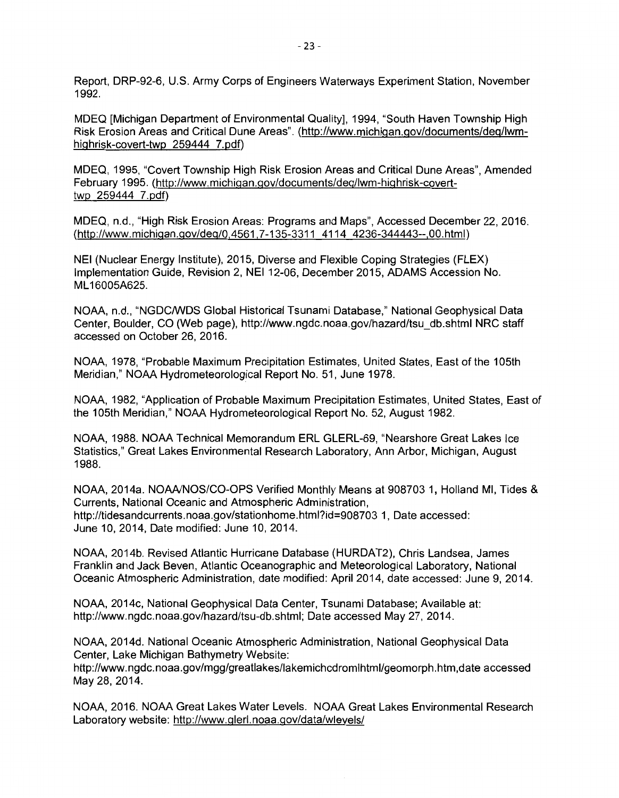Report, DRP-92-6, U.S. Army Corps of Engineers Waterways Experiment Station, November 1992.

MDEQ [Michigan Department of Environmental Quality], 1994, "South Haven Township High Risk Erosion Areas and Critical Dune Areas". (http://www.michigan.gov/documents/deq/lwmhighrisk-covert-twp 259444 7.pdf)

MDEQ, 1995, "Covert Township High Risk Erosion Areas and Critical Dune Areas", Amended February 1995. (http://www.michigan.gov/documents/deq/lwm-highrisk-coverttwp 259444 7.pdf)

MDEQ, n.d., "High Risk Erosion Areas: Programs and Maps", Accessed December 22, 2016. (http://www.michigan.gov/deq/0,4561,7-135-3311 4114 4236-344443--,00.html)

NEI (Nuclear Energy Institute), 2015, Diverse and Flexible Coping Strategies (FLEX) Implementation Guide, Revision 2, NEI 12-06, December 2015, ADAMS Accession No. ML 16005A625.

NOAA, n.d., "NGDC/WDS Global Historical Tsunami Database," National Geophysical Data Center, Boulder, CO (Web page), http://www.ngdc.noaa.gov/hazard/tsu\_db.shtml NRC staff accessed on October 26, 2016.

NOAA, 1978, "Probable Maximum Precipitation Estimates, United States, East of the 105th Meridian," NOAA Hydrometeorological Report No. 51, June 1978.

NOAA, 1982, "Application of Probable Maximum Precipitation Estimates, United States, East of the 105th Meridian," NOAA Hydrometeorological Report No. 52, August 1982.

NOAA, 1988. NOAA Technical Memorandum ERL GLERL-69, "Nearshore Great Lakes Ice Statistics," Great Lakes Environmental Research Laboratory, Ann Arbor, Michigan, August 1988.

NOAA, 2014a. NOAA/NOS/CO-OPS Verified Monthly Means at 908703 1, Holland Ml, Tides & Currents, National Oceanic and Atmospheric Administration, http://tidesandcurrents.noaa.gov/stationhome.html?id=908703 1, Date accessed: June 10, 2014, Date modified: June 10, 2014.

NOAA, 2014b. Revised Atlantic Hurricane Database (HURDAT2), Chris Landsea, James Franklin and Jack Beven, Atlantic Oceanographic and Meteorological Laboratory, National Oceanic Atmospheric Administration, date modified: April 2014, date accessed: June 9, 2014.

NOAA, 2014c, National Geophysical Data Center, Tsunami Database; Available at: http://www.ngdc.noaa.gov/hazard/tsu-db.shtml; Date accessed May 27, 2014.

NOAA, 2014d. National Oceanic Atmospheric Administration, National Geophysical Data Center, Lake Michigan Bathymetry Website:

http://www.ngdc.noaa.gov/mgg/greatlakes/lakemichcdromlhtml/geomorph.htm, date accessed May 28, 2014.

NOAA, 2016. NOAA Great Lakes Water Levels. NOAA Great Lakes Environmental Research Laboratory website: http://www.glerl.noaa.gov/data/wlevels/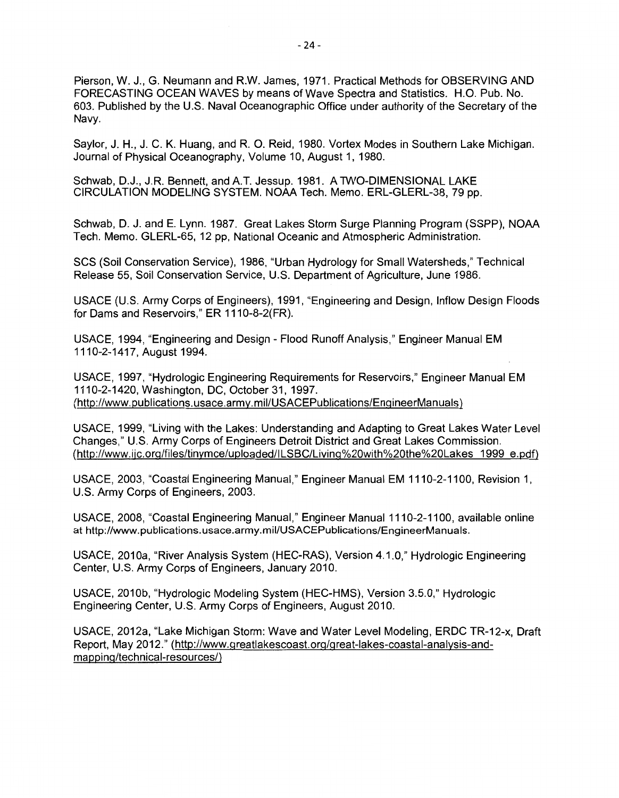Pierson, W. J., G. Neumann and R.W. James, 1971. Practical Methods for OBSERVING AND FORECASTING OCEAN WAVES by means of Wave Spectra and Statistics. H.O. Pub. No. 603. Published by the U.S. Naval Oceanographic Office under authority of the Secretary of the Navy.

Saylor, J. H., J.C. K. Huang, and R. 0. Reid, 1980. Vortex Modes in Southern Lake Michigan. Journal of Physical Oceanography, Volume 10, August 1, 1980.

Schwab, D.J., J.R. Bennett, and A.T. Jessup. 1981. A TWO-DIMENSIONAL LAKE CIRCULATION MODELING SYSTEM. NOAA Tech. Memo. ERL-GLERL-38, 79 pp.

Schwab, D. J. and E. Lynn. 1987. Great Lakes Storm Surge Planning Program (SSPP), NOAA Tech. Memo. GLERL-65, 12 pp, National Oceanic and Atmospheric Administration.

SCS (Soil Conservation Service), 1986, "Urban Hydrology for Small Watersheds," Technical Release 55, Soil Conservation Service, U.S. Department of Agriculture, June 1986.

USACE (U.S. Army Corps of Engineers}, 1991, "Engineering and Design, Inflow Design Floods for Dams and Reservoirs," ER 1110-8-2(FR).

USACE, 1994, "Engineering and Design - Flood Runoff Analysis," Engineer Manual EM 1110-2-1417, August 1994.

USACE, 1997, "Hydrologic Engineering Requirements for Reservoirs," Engineer Manual EM 1110-2~1420, Washington, DC, October 31, 1997. (http://www.publications.usace.army.mil/USACEPublications/EngineerManuals)

USACE, 1999, "Living with the Lakes: Understanding and Adapting to Great Lakes Water Level Changes," U.S. Army Corps of Engineers Detroit District and Great Lakes Commission. (http://www.ijc.org/files/tinymce/uploaded/ILSBC/Living%20with%20the%20Lakes 1999 e.pdf)

USACE, 2003, "Coastal Engineering Manual," Engineer Manual EM 1110-2-1100, Revision 1, U.S. Army Corps of Engineers, 2003.

USACE, 2008, "Coastal Engineering Manual," Engineer Manual 1110-2-1100, available online at http://www.publications.usace.army.mil/USACEPublications/EngineerManuals.

USACE, 2010a, "River Analysis System (HEC-RAS), Version 4.1.0," Hydrologic Engineering Center, U.S. Army Corps of Engineers, January 2010.

USACE, 2010b, "Hydrologic Modeling System (HEC-HMS), Version 3.5.0," Hydrologic Engineering Center, U.S. Army Corps of Engineers, August 2010.

USACE, 2012a, "Lake Michigan Storm: Wave and Water Level Modeling, ERDC TR-12-x, Draft Report, May 2012." (http://www.greatlakescoast.org/great-lakes-coastal-analysis-andmappinq/technical-resources/)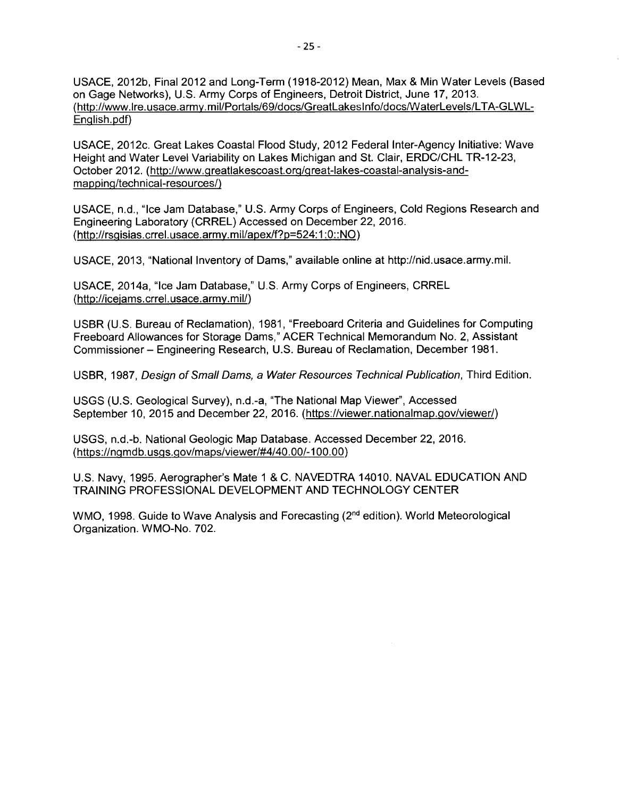USACE, 2012b, Final 2012 and Long-Term (1918-2012) Mean, Max & Min Water Levels (Based on Gage Networks), U.S. Army Corps of Engineers, Detroit District, June 17, 2013. (http://www.lre.usace.army.mil/Portals/69/docs/GreatLakeslnfo/docs/WaterLevels/L TA-GLWL-English.pdf)

USACE, 2012c. Great Lakes Coastal Flood Study, 2012 Federal Inter-Agency Initiative: Wave Height and Water Level Variability on Lakes Michigan and St. Clair, ERDC/CHL TR-12-23, October 2012. (http://www.greatlakescoast.org/great-lakes-coastal-analysis-andmapping/technical-resources/)

USACE, n.d., "Ice Jam Database," U.S. Army Corps of Engineers, Cold Regions Research and Engineering Laboratory (CRREL) Accessed on December 22, 2016. (http://rsgisias.crrel.usace.army.mil/apex/f?p=524:1 :O::NO)

USACE, 2013, "National Inventory of Dams," available online at http://nid.usace.army.mil.

USACE, 2014a, "Ice Jam Database," U.S. Army Corps of Engineers, CRREL (http://icejams.crrel.usace.army.mil/)

USBR (U.S. Bureau of Reclamation), 1981, "Freeboard Criteria and Guidelines for Computing Freeboard Allowances for Storage Dams," ACER Technical Memorandum No. 2, Assistant Commissioner - Engineering Research, U.S. Bureau of Reclamation, December 1981.

USBR, 1987, Design of Small Dams, a Water Resources Technical Publication, Third Edition.

USGS (U.S. Geological Survey), n.d.-a, "The National Map Viewer", Accessed September 10, 2015 and December 22, 2016. (https://viewer.nationalmap.gov/viewer/)

USGS, n.d.-b. National Geologic Map Database. Accessed December 22, 2016. (https://ngmd b. usgs.gov/maps/viewer/#4/40. 00/-100. 00)

U.S. Navy, 1995. Aerographer's Mate 1 & C. NAVEDTRA 14010. NAVAL EDUCATION AND TRAINING PROFESSIONAL DEVELOPMENT AND TECHNOLOGY CENTER

WMO, 1998. Guide to Wave Analysis and Forecasting (2<sup>nd</sup> edition). World Meteorological Organization. WMO-No. 702.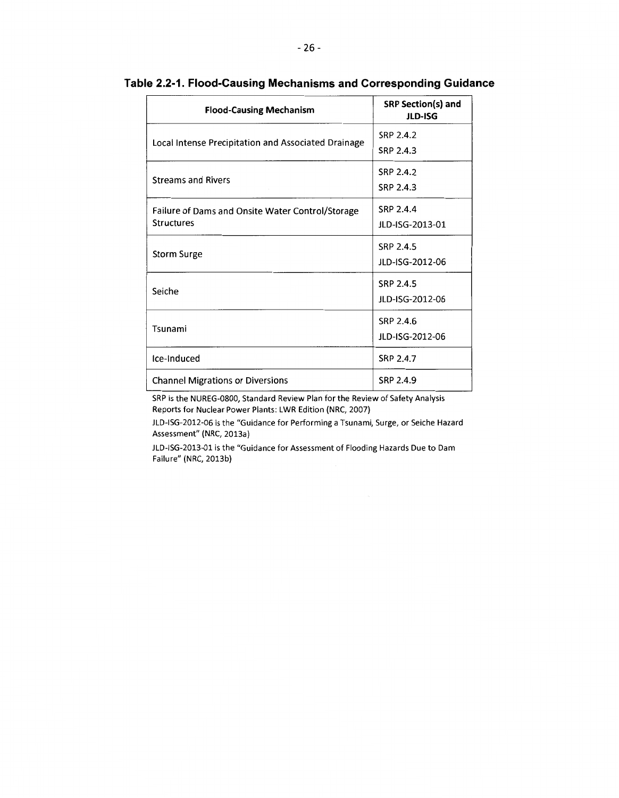| <b>Flood-Causing Mechanism</b>                                        | SRP Section(s) and<br>JLD-ISG |
|-----------------------------------------------------------------------|-------------------------------|
| Local Intense Precipitation and Associated Drainage                   | SRP 2.4.2<br>SRP 2.4.3        |
| <b>Streams and Rivers</b>                                             | SRP 2.4.2<br>SRP 2.4.3        |
| Failure of Dams and Onsite Water Control/Storage<br><b>Structures</b> | SRP 2.4.4<br>JLD-ISG-2013-01  |
| Storm Surge                                                           | SRP 2.4.5<br>JLD-ISG-2012-06  |
| Seiche                                                                | SRP 2.4.5<br>JLD-ISG-2012-06  |
| Tsunami                                                               | SRP 2.4.6<br>JLD-ISG-2012-06  |
| Ice-Induced                                                           | SRP 2.4.7                     |
| <b>Channel Migrations or Diversions</b>                               | SRP 2.4.9                     |

# **Table 2.2-1. Flood-Causing Mechanisms and Corresponding Guidance**

SRP is the NUREG-0800, Standard Review Plan for the Review of Safety Analysis Reports for Nuclear Power Plants: LWR Edition (NRC, 2007)

JLD-ISG-2012-06 is the "Guidance for Performing a Tsunami, Surge, or Seiche Hazard Assessment" (NRC, 2013a)

JLD-ISG-2013-01 is the "Guidance for Assessment of Flooding Hazards Due to Dam Failure" (NRC, 2013b)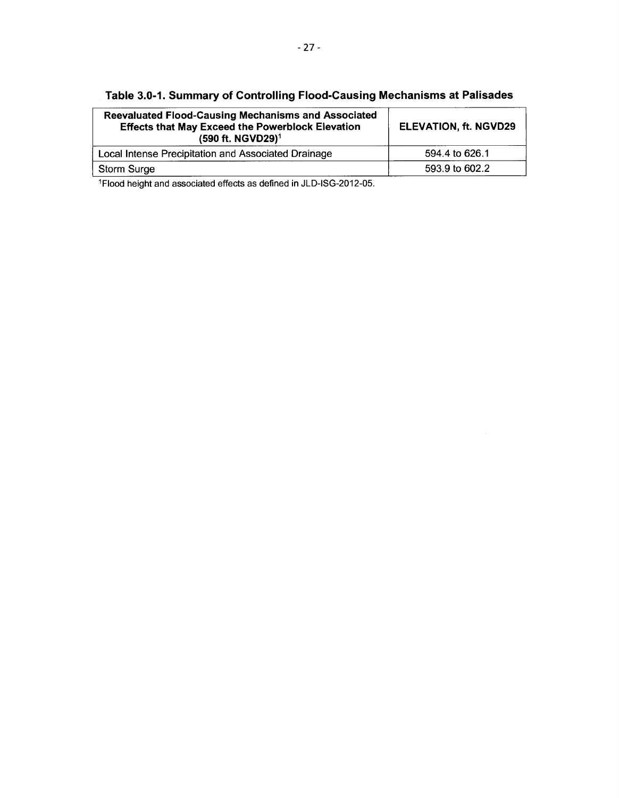| <b>Reevaluated Flood-Causing Mechanisms and Associated</b><br><b>Effects that May Exceed the Powerblock Elevation</b><br>(590 ft. NGVD29) <sup>1</sup> | <b>ELEVATION, ft. NGVD29</b> |
|--------------------------------------------------------------------------------------------------------------------------------------------------------|------------------------------|
| Local Intense Precipitation and Associated Drainage                                                                                                    | 594.4 to 626.1               |
| Storm Surge                                                                                                                                            | 593.9 to 602.2               |

**Table 3.0-1. Summary of Controlling Flood-Causing Mechanisms at Palisades** 

1Flood height and associated effects as defined in JLD-ISG-2012-05.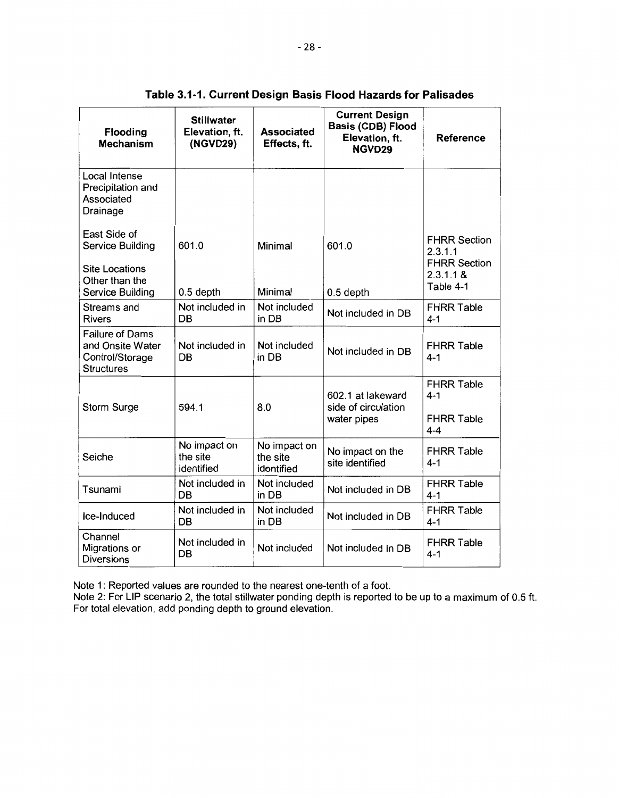| Flooding<br><b>Mechanism</b>                                                                    | <b>Stillwater</b><br>Elevation, ft.<br>(NGVD29) | <b>Associated</b><br>Effects, ft.      | <b>Current Design</b><br>Basis (CDB) Flood<br>Elevation, ft.<br>NGVD29 | <b>Reference</b>                                                                |
|-------------------------------------------------------------------------------------------------|-------------------------------------------------|----------------------------------------|------------------------------------------------------------------------|---------------------------------------------------------------------------------|
| Local Intense<br>Precipitation and<br>Associated<br>Drainage                                    |                                                 |                                        |                                                                        |                                                                                 |
| East Side of<br>Service Building<br><b>Site Locations</b><br>Other than the<br>Service Building | 601.0<br>0.5 depth                              | Minimal<br>Minimal                     | 601.0<br>0.5 depth                                                     | <b>FHRR Section</b><br>2.3.1.1<br><b>FHRR Section</b><br>2.3.1.1 &<br>Table 4-1 |
| Streams and<br><b>Rivers</b>                                                                    | Not included in<br>DB                           | Not included<br>in DB                  | Not included in DB                                                     | <b>FHRR Table</b><br>$4 - 1$                                                    |
| <b>Failure of Dams</b><br>and Onsite Water<br>Control/Storage<br><b>Structures</b>              | Not included in<br>DB                           | Not included<br>in DB                  | Not included in DB                                                     | <b>FHRR Table</b><br>$4 - 1$                                                    |
| Storm Surge                                                                                     | 594.1                                           | 8.0                                    | 602.1 at lakeward<br>side of circulation<br>water pipes                | <b>FHRR Table</b><br>$4 - 1$<br><b>FHRR Table</b><br>$4 - 4$                    |
| Seiche                                                                                          | No impact on<br>the site<br>identified          | No impact on<br>the site<br>identified | No impact on the<br>site identified                                    | <b>FHRR Table</b><br>$4 - 1$                                                    |
| Tsunami                                                                                         | Not included in<br>DB                           | Not included<br>in DB                  | Not included in DB                                                     | <b>FHRR Table</b><br>$4 - 1$                                                    |
| Ice-Induced                                                                                     | Not included in<br>DB                           | Not included<br>in DB                  | Not included in DB                                                     | <b>FHRR Table</b><br>$4 - 1$                                                    |
| Channel<br>Migrations or<br><b>Diversions</b>                                                   | Not included in<br><b>DB</b>                    | Not included                           | Not included in DB                                                     | <b>FHRR Table</b><br>$4 - 1$                                                    |

**Table 3.1-1. Current Design Basis Flood Hazards for Palisades** 

Note 1: Reported values are rounded to the nearest one-tenth of a foot.

Note 2: For LIP scenario 2, the total stillwater ponding depth is reported to be up to a maximum of 0.5 ft. For total elevation, add ponding depth to ground elevation.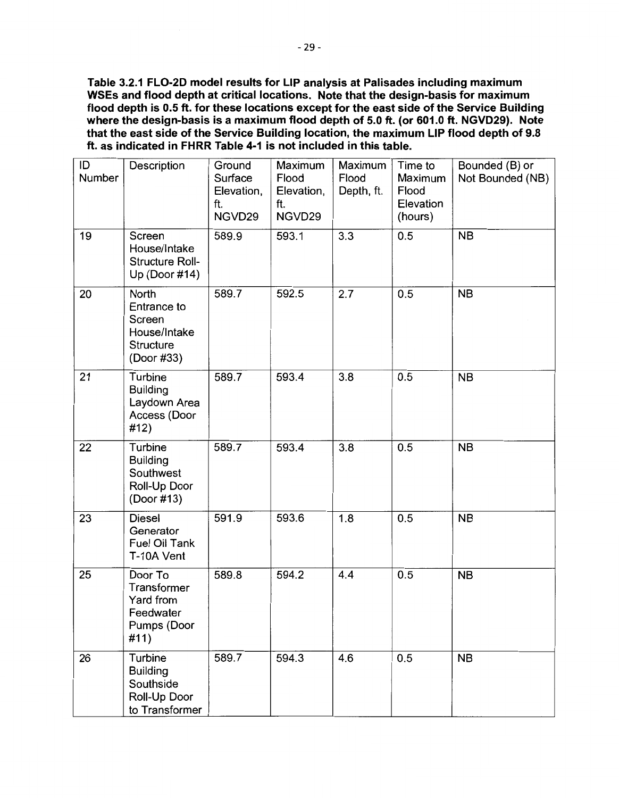**Table 3.2.1 FL0-2D model results for LIP analysis at Palisades including maximum WSEs and flood depth at critical locations. Note that the design-basis for maximum flood depth is 0.5 ft. for these locations except for the east side of the Service Building where the design-basis is a maximum flood depth of 5.0 ft. (or 601.0 ft. NGVD29). Note that the east side of the Service Building location, the maximum LIP flood depth of 9.8 ft. as indicated in FHRR Table 4-1 is not included in this table.** 

| ID<br>Number | Description                                                               | Ground<br>Surface<br>Elevation,<br>ft.<br>NGVD29 | Maximum<br>Flood<br>Elevation,<br>ft.<br>NGVD29 | Maximum<br>Flood<br>Depth, ft. | Time to<br>Maximum<br>Flood<br>Elevation<br>(hours) | Bounded (B) or<br>Not Bounded (NB) |
|--------------|---------------------------------------------------------------------------|--------------------------------------------------|-------------------------------------------------|--------------------------------|-----------------------------------------------------|------------------------------------|
| 19           | Screen<br>House/Intake<br>Structure Roll-<br>Up (Door #14)                | 589.9                                            | 593.1                                           | 3.3                            | 0.5                                                 | <b>NB</b>                          |
| 20           | North<br>Entrance to<br>Screen<br>House/Intake<br>Structure<br>(Door #33) | 589.7                                            | 592.5                                           | 2.7                            | 0.5                                                 | <b>NB</b>                          |
| 21           | Turbine<br><b>Building</b><br>Laydown Area<br>Access (Door<br>#12)        | 589.7                                            | 593.4                                           | 3.8                            | 0.5                                                 | <b>NB</b>                          |
| 22           | Turbine<br><b>Building</b><br>Southwest<br>Roll-Up Door<br>(Door #13)     | 589.7                                            | 593.4                                           | 3.8                            | 0.5                                                 | <b>NB</b>                          |
| 23           | Diesel<br>Generator<br>Fuel Oil Tank<br>T-10A Vent                        | 591.9                                            | 593.6                                           | 1.8                            | 0.5                                                 | <b>NB</b>                          |
| 25           | Door To<br>Transformer<br>Yard from<br>Feedwater<br>Pumps (Door<br>#11)   | 589.8                                            | 594.2                                           | 4.4                            | 0.5                                                 | <b>NB</b>                          |
| 26           | Turbine<br><b>Building</b><br>Southside<br>Roll-Up Door<br>to Transformer | 589.7                                            | 594.3                                           | 4.6                            | 0.5                                                 | <b>NB</b>                          |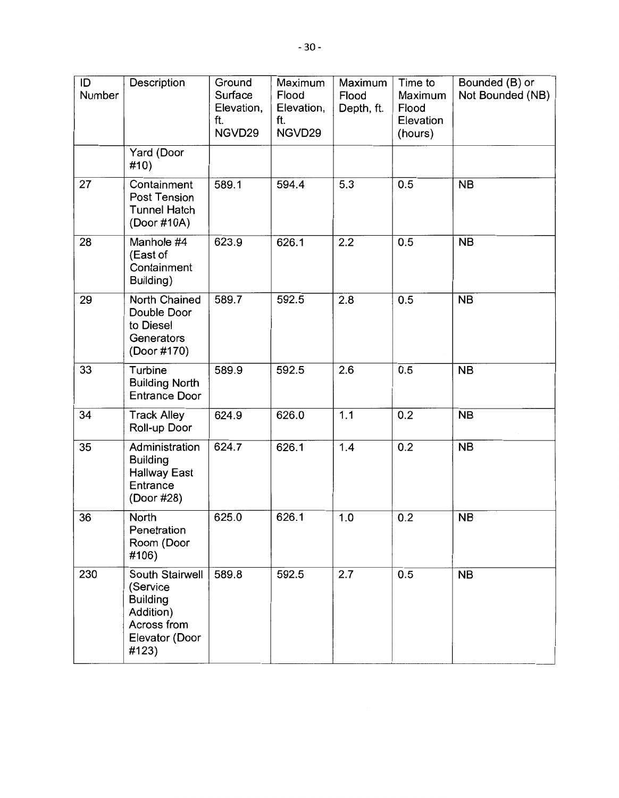| ID<br>Number | Description                                                                                           | Ground<br>Surface<br>Elevation,<br>ft.<br>NGVD29 | Maximum<br>Flood<br>Elevation,<br>ft.<br>NGVD29 | Maximum<br>Flood<br>Depth, ft. | Time to<br>Maximum<br>Flood<br>Elevation<br>(hours) | Bounded (B) or<br>Not Bounded (NB) |
|--------------|-------------------------------------------------------------------------------------------------------|--------------------------------------------------|-------------------------------------------------|--------------------------------|-----------------------------------------------------|------------------------------------|
|              | Yard (Door<br>#10)                                                                                    |                                                  |                                                 |                                |                                                     |                                    |
| 27           | Containment<br><b>Post Tension</b><br><b>Tunnel Hatch</b><br>(Door #10A)                              | 589.1                                            | 594.4                                           | 5.3                            | 0.5                                                 | <b>NB</b>                          |
| 28           | Manhole #4<br>(East of<br>Containment<br>Building)                                                    | 623.9                                            | 626.1                                           | 2.2                            | 0.5                                                 | <b>NB</b>                          |
| 29           | <b>North Chained</b><br>Double Door<br>to Diesel<br>Generators<br>(Door #170)                         | 589.7                                            | 592.5                                           | 2.8                            | 0.5                                                 | <b>NB</b>                          |
| 33           | Turbine<br><b>Building North</b><br><b>Entrance Door</b>                                              | 589.9                                            | 592.5                                           | 2.6                            | 0.5                                                 | <b>NB</b>                          |
| 34           | <b>Track Alley</b><br>Roll-up Door                                                                    | 624.9                                            | 626.0                                           | 1.1                            | 0.2                                                 | <b>NB</b>                          |
| 35           | Administration<br><b>Building</b><br><b>Hallway East</b><br>Entrance<br>(Door #28)                    | 624.7                                            | 626.1                                           | 1.4                            | 0.2                                                 | <b>NB</b>                          |
| 36           | North<br>Penetration<br>Room (Door<br>#106)                                                           | 625.0                                            | 626.1                                           | 1.0                            | 0.2                                                 | <b>NB</b>                          |
| 230          | South Stairwell<br>(Service<br><b>Building</b><br>Addition)<br>Across from<br>Elevator (Door<br>#123) | 589.8                                            | 592.5                                           | 2.7                            | 0.5                                                 | <b>NB</b>                          |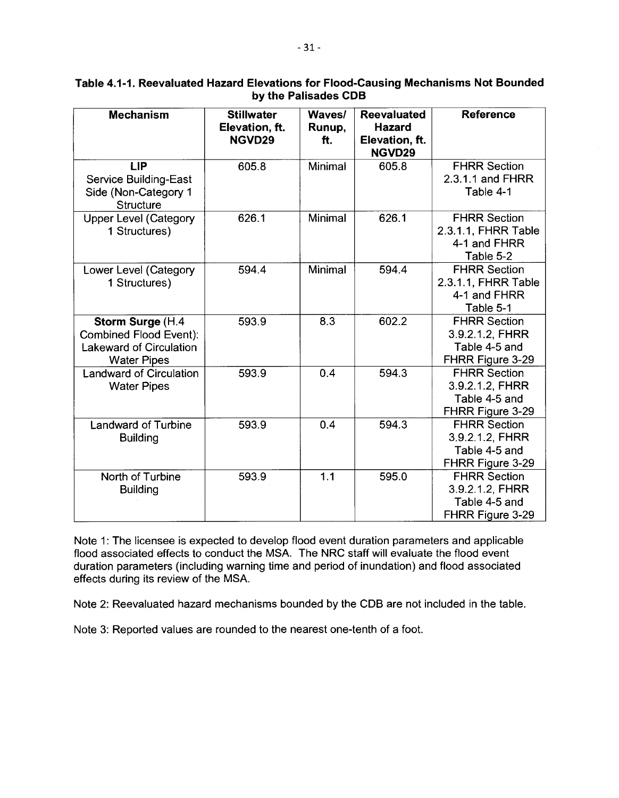| <b>Mechanism</b>               | <b>Stillwater</b> | Waves/  | <b>Reevaluated</b> | <b>Reference</b>    |
|--------------------------------|-------------------|---------|--------------------|---------------------|
|                                | Elevation, ft.    | Runup,  | <b>Hazard</b>      |                     |
|                                | NGVD29            | ft.     | Elevation, ft.     |                     |
|                                |                   |         | NGVD29             |                     |
| <b>LIP</b>                     | 605.8             | Minimal | 605.8              | <b>FHRR Section</b> |
| <b>Service Building-East</b>   |                   |         |                    | 2.3.1.1 and FHRR    |
| Side (Non-Category 1           |                   |         |                    | Table 4-1           |
| <b>Structure</b>               |                   |         |                    |                     |
| <b>Upper Level (Category</b>   | 626.1             | Minimal | 626.1              | <b>FHRR Section</b> |
| 1 Structures)                  |                   |         |                    | 2.3.1.1, FHRR Table |
|                                |                   |         |                    | 4-1 and FHRR        |
|                                |                   |         |                    | Table 5-2           |
| Lower Level (Category          | 594.4             | Minimal | 594.4              | <b>FHRR Section</b> |
| 1 Structures)                  |                   |         |                    | 2.3.1.1, FHRR Table |
|                                |                   |         |                    | 4-1 and FHRR        |
|                                |                   |         |                    | Table 5-1           |
| Storm Surge (H.4               | 593.9             | 8.3     | 602.2              | <b>FHRR Section</b> |
| Combined Flood Event):         |                   |         |                    | 3.9.2.1.2, FHRR     |
| <b>Lakeward of Circulation</b> |                   |         |                    | Table 4-5 and       |
| <b>Water Pipes</b>             |                   |         |                    | FHRR Figure 3-29    |
| Landward of Circulation        | 593.9             | 0.4     | 594.3              | <b>FHRR Section</b> |
| <b>Water Pipes</b>             |                   |         |                    | 3.9.2.1.2, FHRR     |
|                                |                   |         |                    | Table 4-5 and       |
|                                |                   |         |                    | FHRR Figure 3-29    |
| <b>Landward of Turbine</b>     | 593.9             | 0.4     | 594.3              | <b>FHRR Section</b> |
| <b>Building</b>                |                   |         |                    | 3.9.2.1.2. FHRR     |
|                                |                   |         |                    | Table 4-5 and       |
|                                |                   |         |                    | FHRR Figure 3-29    |
| North of Turbine               | 593.9             | 1.1     | 595.0              | <b>FHRR Section</b> |
| <b>Building</b>                |                   |         |                    | 3.9.2.1.2. FHRR     |
|                                |                   |         |                    | Table 4-5 and       |
|                                |                   |         |                    | FHRR Figure 3-29    |

# **Table 4.1-1. Reevaluated Hazard Elevations for Flood-Causing Mechanisms Not Bounded by the Palisades CDB**

Note 1: The licensee is expected to develop flood event duration parameters and applicable flood associated effects to conduct the MSA. The NRC staff will evaluate the flood event duration parameters (including warning time and period of inundation) and flood associated effects during its review of the MSA.

Note 2: Reevaluated hazard mechanisms bounded by the COB are not included in the table.

Note 3: Reported values are rounded to the nearest one-tenth of a foot.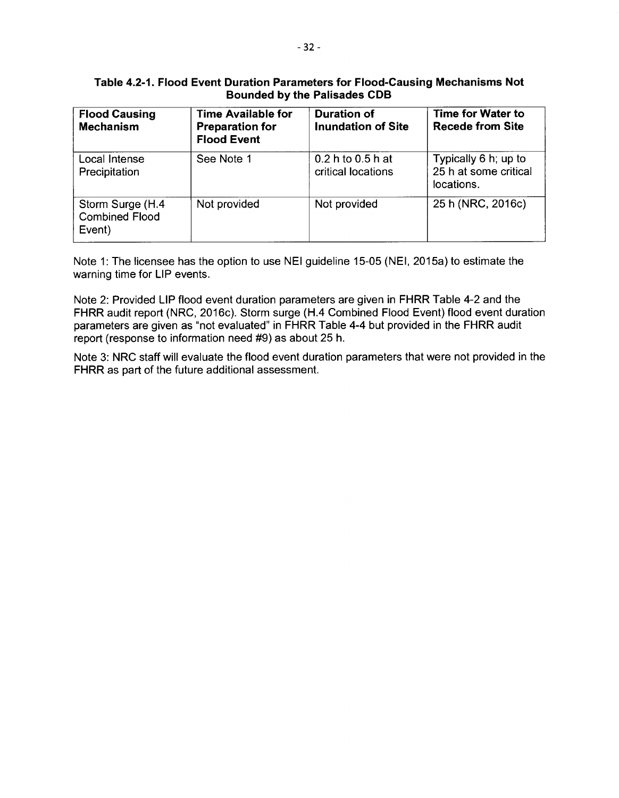# **Table 4.2-1. Flood Event Duration Parameters for Flood-Causing Mechanisms Not Bounded by the Palisades CDB**

| <b>Flood Causing</b><br><b>Mechanism</b>            | <b>Time Available for</b><br><b>Preparation for</b><br><b>Flood Event</b> | <b>Duration of</b><br><b>Inundation of Site</b> | Time for Water to<br><b>Recede from Site</b>                |
|-----------------------------------------------------|---------------------------------------------------------------------------|-------------------------------------------------|-------------------------------------------------------------|
| Local Intense<br>Precipitation                      | See Note 1                                                                | 0.2 h to 0.5 h at<br>critical locations         | Typically 6 h; up to<br>25 h at some critical<br>locations. |
| Storm Surge (H.4<br><b>Combined Flood</b><br>Event) | Not provided                                                              | Not provided                                    | 25 h (NRC, 2016c)                                           |

Note 1: The licensee has the option to use NEI guideline 15-05 (NEI, 2015a) to estimate the warning time for LIP events.

Note 2: Provided LIP flood event duration parameters are given in FHRR Table 4-2 and the FHRR audit report (NRC, 2016c). Storm surge (H.4 Combined Flood Event) flood event duration parameters are given as "not evaluated" in FHRR Table 4-4 but provided in the FHRR audit report (response to information need #9) as about 25 h.

Note 3: NRC staff will evaluate the flood event duration parameters that were not provided in the FHRR as part of the future additional assessment.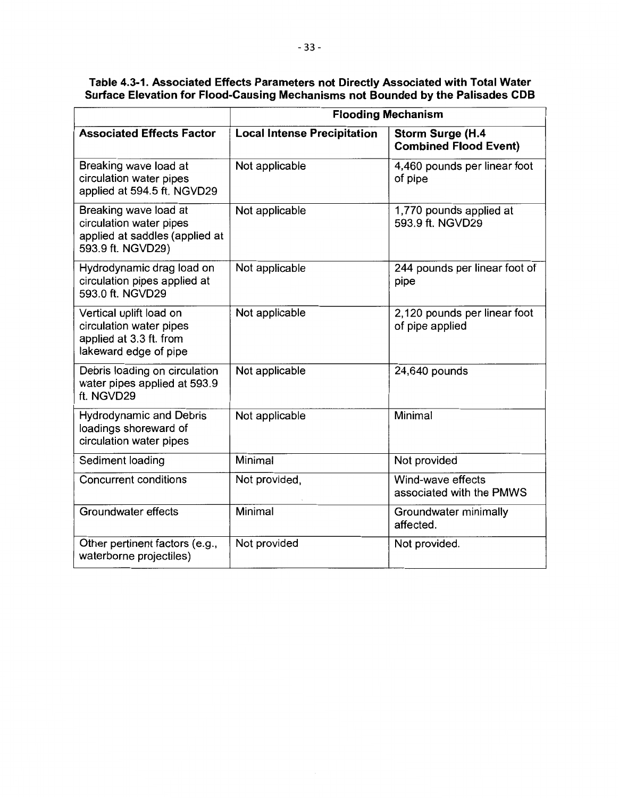| Table 4.3-1. Associated Effects Parameters not Directly Associated with Total Water |
|-------------------------------------------------------------------------------------|
| Surface Elevation for Flood-Causing Mechanisms not Bounded by the Palisades CDB     |

|                                                                                                         | <b>Flooding Mechanism</b>          |                                                  |  |  |
|---------------------------------------------------------------------------------------------------------|------------------------------------|--------------------------------------------------|--|--|
| <b>Associated Effects Factor</b>                                                                        | <b>Local Intense Precipitation</b> | Storm Surge (H.4<br><b>Combined Flood Event)</b> |  |  |
| Breaking wave load at<br>circulation water pipes<br>applied at 594.5 ft. NGVD29                         | Not applicable                     | 4,460 pounds per linear foot<br>of pipe          |  |  |
| Breaking wave load at<br>circulation water pipes<br>applied at saddles (applied at<br>593.9 ft. NGVD29) | Not applicable                     | 1,770 pounds applied at<br>593.9 ft. NGVD29      |  |  |
| Hydrodynamic drag load on<br>circulation pipes applied at<br>593.0 ft. NGVD29                           | Not applicable                     | 244 pounds per linear foot of<br>pipe            |  |  |
| Vertical uplift load on<br>circulation water pipes<br>applied at 3.3 ft. from<br>lakeward edge of pipe  | Not applicable                     | 2,120 pounds per linear foot<br>of pipe applied  |  |  |
| Debris loading on circulation<br>water pipes applied at 593.9<br>ft. NGVD29                             | Not applicable                     | 24,640 pounds                                    |  |  |
| <b>Hydrodynamic and Debris</b><br>loadings shoreward of<br>circulation water pipes                      | Not applicable                     | Minimal                                          |  |  |
| Sediment loading                                                                                        | Minimal                            | Not provided                                     |  |  |
| <b>Concurrent conditions</b>                                                                            | Not provided,                      | Wind-wave effects<br>associated with the PMWS    |  |  |
| Groundwater effects                                                                                     | Minimal                            | Groundwater minimally<br>affected.               |  |  |
| Other pertinent factors (e.g.,<br>waterborne projectiles)                                               | Not provided                       | Not provided.                                    |  |  |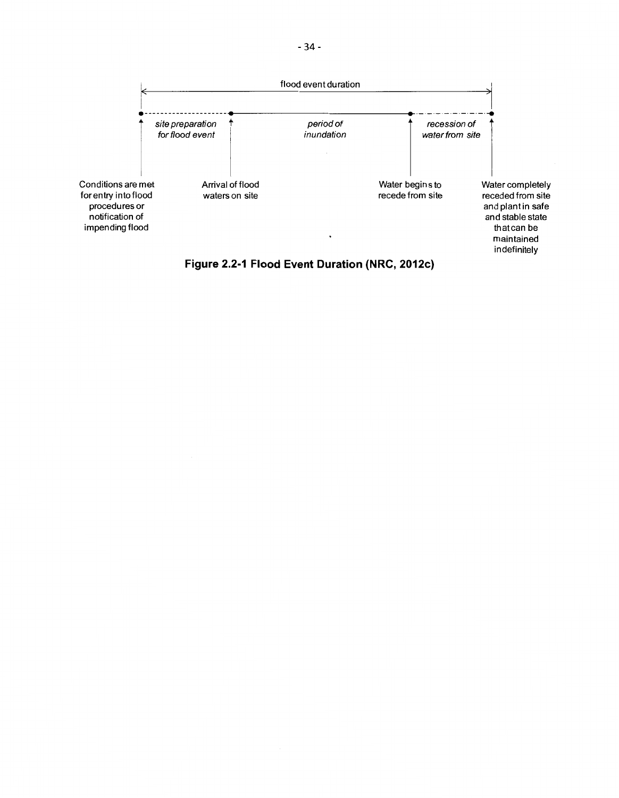

**Figure 2.2-1 Flood Event Duration {NRC, 2012c}**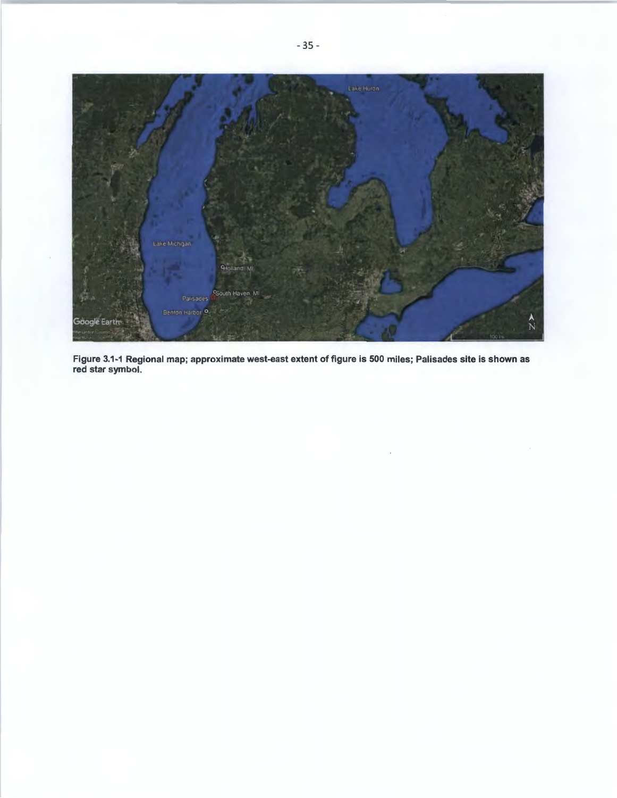

Figure 3.1-1 Regional map; approximate west-east extent of figure is 500 miles; Palisades site is shown as red star symbol.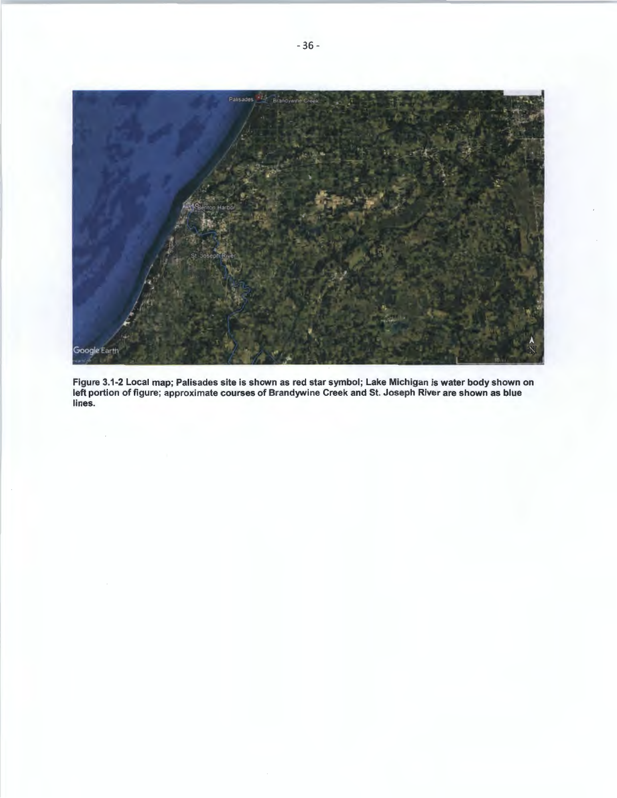

Figure 3.1-2 Local map; Palisades site is shown as red star symbol; Lake Michigan is water body shown on left portion of figure; approximate courses of Brandywine Creek and St. Joseph River are shown as blue lines.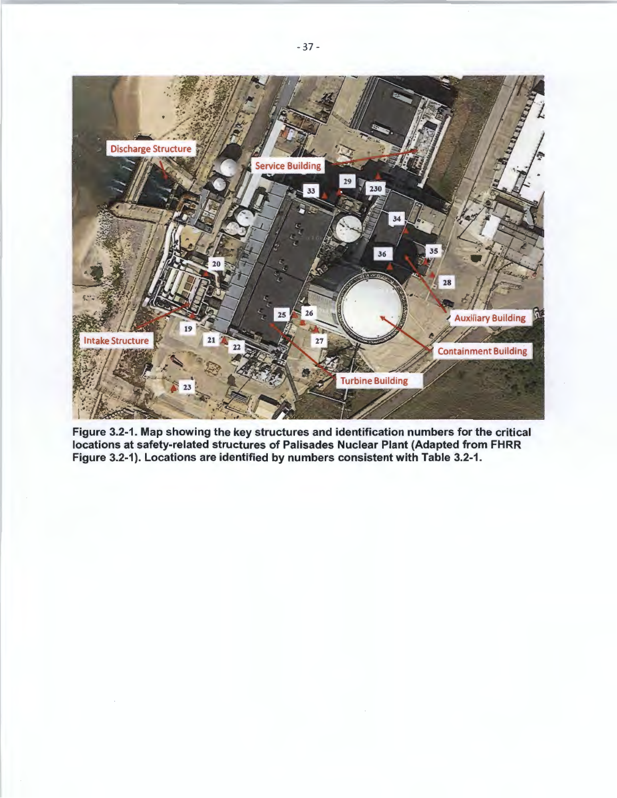

Figure 3.2-1. Map showing the key structures and identification numbers for the critical locations at safety-related structures of Palisades Nuclear Plant (Adapted from FHRR Figure 3.2-1). Locations are identified by numbers consistent with Table 3.2-1.